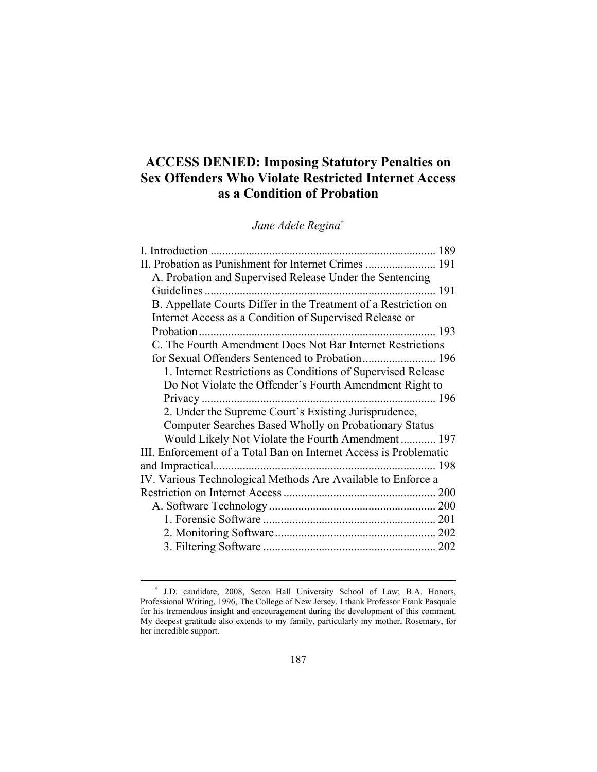# **ACCESS DENIED: Imposing Statutory Penalties on Sex Offenders Who Violate Restricted Internet Access as a Condition of Probation**

*Jane Adele Regina*†

| 189                                                               |
|-------------------------------------------------------------------|
| II. Probation as Punishment for Internet Crimes  191              |
| A. Probation and Supervised Release Under the Sentencing          |
|                                                                   |
| B. Appellate Courts Differ in the Treatment of a Restriction on   |
| Internet Access as a Condition of Supervised Release or           |
| -193                                                              |
| C. The Fourth Amendment Does Not Bar Internet Restrictions        |
| for Sexual Offenders Sentenced to Probation 196                   |
| 1. Internet Restrictions as Conditions of Supervised Release      |
| Do Not Violate the Offender's Fourth Amendment Right to           |
| Privacy                                                           |
| 2. Under the Supreme Court's Existing Jurisprudence,              |
| Computer Searches Based Wholly on Probationary Status             |
| Would Likely Not Violate the Fourth Amendment 197                 |
| III. Enforcement of a Total Ban on Internet Access is Problematic |
| and Impractical                                                   |
| IV. Various Technological Methods Are Available to Enforce a      |
|                                                                   |
|                                                                   |
|                                                                   |
|                                                                   |
|                                                                   |

 <sup>†</sup> J.D. candidate, 2008, Seton Hall University School of Law; B.A. Honors, Professional Writing, 1996, The College of New Jersey. I thank Professor Frank Pasquale for his tremendous insight and encouragement during the development of this comment. My deepest gratitude also extends to my family, particularly my mother, Rosemary, for her incredible support.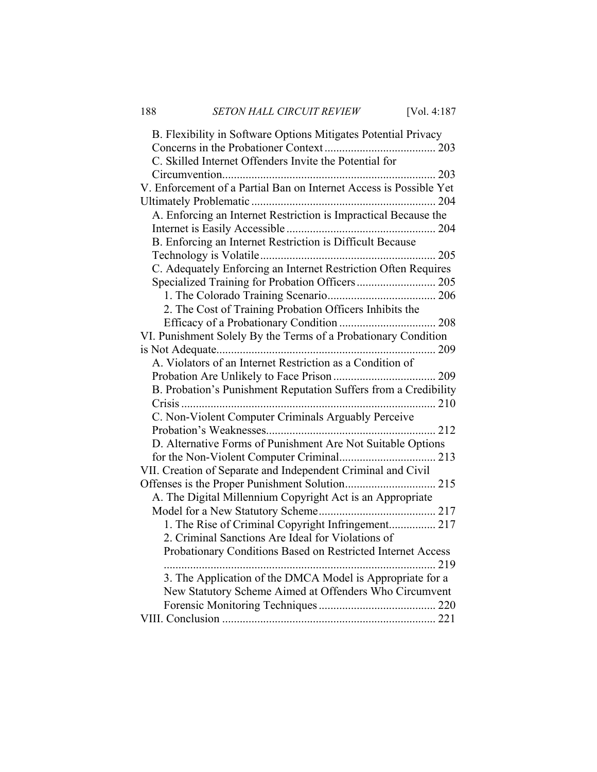| B. Flexibility in Software Options Mitigates Potential Privacy     |
|--------------------------------------------------------------------|
|                                                                    |
| C. Skilled Internet Offenders Invite the Potential for             |
| $\dots 203$                                                        |
| V. Enforcement of a Partial Ban on Internet Access is Possible Yet |
|                                                                    |
| A. Enforcing an Internet Restriction is Impractical Because the    |
|                                                                    |
| B. Enforcing an Internet Restriction is Difficult Because          |
| 205                                                                |
| C. Adequately Enforcing an Internet Restriction Often Requires     |
|                                                                    |
|                                                                    |
| 2. The Cost of Training Probation Officers Inhibits the            |
|                                                                    |
| VI. Punishment Solely By the Terms of a Probationary Condition     |
| 209                                                                |
| A. Violators of an Internet Restriction as a Condition of          |
|                                                                    |
| B. Probation's Punishment Reputation Suffers from a Credibility    |
|                                                                    |
| C. Non-Violent Computer Criminals Arguably Perceive                |
|                                                                    |
| D. Alternative Forms of Punishment Are Not Suitable Options        |
|                                                                    |
| VII. Creation of Separate and Independent Criminal and Civil       |
|                                                                    |
| A. The Digital Millennium Copyright Act is an Appropriate          |
|                                                                    |
| 1. The Rise of Criminal Copyright Infringement 217                 |
| 2. Criminal Sanctions Are Ideal for Violations of                  |
| Probationary Conditions Based on Restricted Internet Access        |
|                                                                    |
| 3. The Application of the DMCA Model is Appropriate for a          |
| New Statutory Scheme Aimed at Offenders Who Circumvent             |
|                                                                    |
|                                                                    |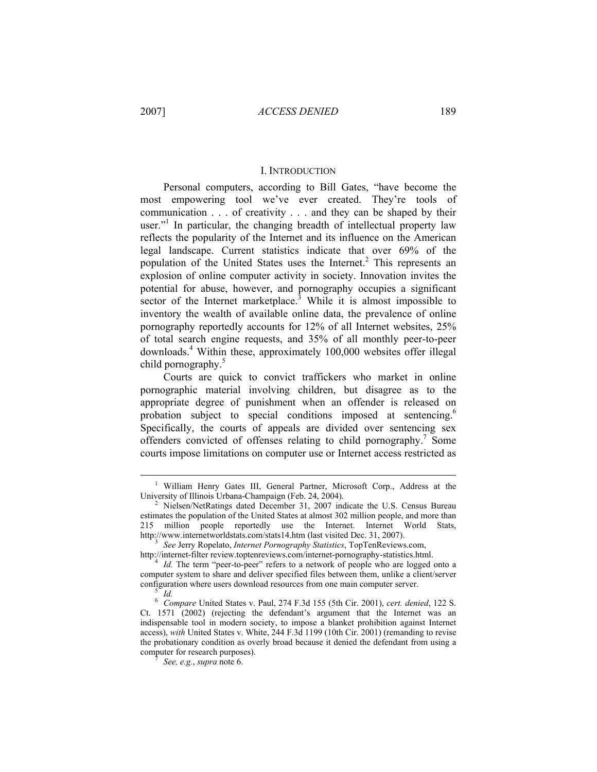#### I. INTRODUCTION

Personal computers, according to Bill Gates, "have become the most empowering tool we've ever created. They're tools of communication . . . of creativity . . . and they can be shaped by their user."<sup>1</sup> In particular, the changing breadth of intellectual property law reflects the popularity of the Internet and its influence on the American legal landscape. Current statistics indicate that over 69% of the population of the United States uses the Internet.<sup>2</sup> This represents an explosion of online computer activity in society. Innovation invites the potential for abuse, however, and pornography occupies a significant sector of the Internet marketplace.<sup>3</sup> While it is almost impossible to inventory the wealth of available online data, the prevalence of online pornography reportedly accounts for 12% of all Internet websites, 25% of total search engine requests, and 35% of all monthly peer-to-peer downloads.4 Within these, approximately 100,000 websites offer illegal child pornography.<sup>5</sup>

Courts are quick to convict traffickers who market in online pornographic material involving children, but disagree as to the appropriate degree of punishment when an offender is released on probation subject to special conditions imposed at sentencing.<sup>6</sup> Specifically, the courts of appeals are divided over sentencing sex offenders convicted of offenses relating to child pornography.<sup>7</sup> Some courts impose limitations on computer use or Internet access restricted as

 $\frac{1}{1}$ <sup>1</sup> William Henry Gates III, General Partner, Microsoft Corp., Address at the University of Illinois Urbana-Champaign (Feb. 24, 2004).

Nielsen/NetRatings dated December 31, 2007 indicate the U.S. Census Bureau estimates the population of the United States at almost 302 million people, and more than 215 million people reportedly use the Internet. Internet World Stats, http://www.internetworldstats.com/stats14.htm (last visited Dec. 31, 2007).

*See* Jerry Ropelato, *Internet Pornography Statistics*, TopTenReviews.com,

http://internet-filter review.toptenreviews.com/internet-pornography-statistics.html. 4

*Id.* The term "peer-to-peer" refers to a network of people who are logged onto a computer system to share and deliver specified files between them, unlike a client/server configuration where users download resources from one main computer server.

*Id.* 6  *Compare* United States v. Paul, 274 F.3d 155 (5th Cir. 2001), *cert. denied*, 122 S. Ct. 1571 (2002) (rejecting the defendant's argument that the Internet was an indispensable tool in modern society, to impose a blanket prohibition against Internet access), *with* United States v. White, 244 F.3d 1199 (10th Cir. 2001) (remanding to revise the probationary condition as overly broad because it denied the defendant from using a computer for research purposes).

*See, e.g.*, *supra* note 6.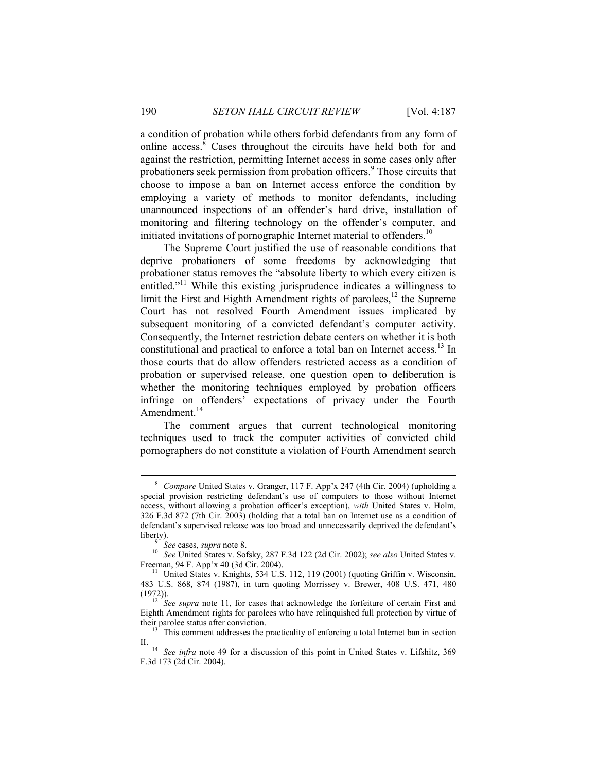a condition of probation while others forbid defendants from any form of online access. $8 \text{ Cases}$  throughout the circuits have held both for and against the restriction, permitting Internet access in some cases only after probationers seek permission from probation officers.<sup>9</sup> Those circuits that choose to impose a ban on Internet access enforce the condition by employing a variety of methods to monitor defendants, including unannounced inspections of an offender's hard drive, installation of monitoring and filtering technology on the offender's computer, and initiated invitations of pornographic Internet material to offenders.<sup>10</sup>

The Supreme Court justified the use of reasonable conditions that deprive probationers of some freedoms by acknowledging that probationer status removes the "absolute liberty to which every citizen is entitled."<sup>11</sup> While this existing jurisprudence indicates a willingness to limit the First and Eighth Amendment rights of parolees, $12$  the Supreme Court has not resolved Fourth Amendment issues implicated by subsequent monitoring of a convicted defendant's computer activity. Consequently, the Internet restriction debate centers on whether it is both constitutional and practical to enforce a total ban on Internet access.<sup>13</sup> In those courts that do allow offenders restricted access as a condition of probation or supervised release, one question open to deliberation is whether the monitoring techniques employed by probation officers infringe on offenders' expectations of privacy under the Fourth Amendment. $^{14}$ 

The comment argues that current technological monitoring techniques used to track the computer activities of convicted child pornographers do not constitute a violation of Fourth Amendment search

 <sup>8</sup>  *Compare* United States v. Granger, 117 F. App'x 247 (4th Cir. 2004) (upholding a special provision restricting defendant's use of computers to those without Internet access, without allowing a probation officer's exception), *with* United States v. Holm, 326 F.3d 872 (7th Cir. 2003) (holding that a total ban on Internet use as a condition of defendant's supervised release was too broad and unnecessarily deprived the defendant's liberty).<br> $\frac{9}{9}$  See cases, *supra* note 8.

*See cases, supra note 6.* 10 *See* United States v. Sofsky, 287 F.3d 122 (2d Cir. 2002); *see also* United States v. Freeman, 94 F. App'x 40 (3d Cir. 2004).

<sup>&</sup>lt;sup>11</sup> United States v. Knights, 534 U.S. 112, 119 (2001) (quoting Griffin v. Wisconsin, 483 U.S. 868, 874 (1987), in turn quoting Morrissey v. Brewer, 408 U.S. 471, 480

<sup>(1972)). 12</sup> *See supra* note 11, for cases that acknowledge the forfeiture of certain First and Eighth Amendment rights for parolees who have relinquished full protection by virtue of their parolee status after conviction.

This comment addresses the practicality of enforcing a total Internet ban in section

II. 14 *See infra* note 49 for a discussion of this point in United States v. Lifshitz, 369 F.3d 173 (2d Cir. 2004).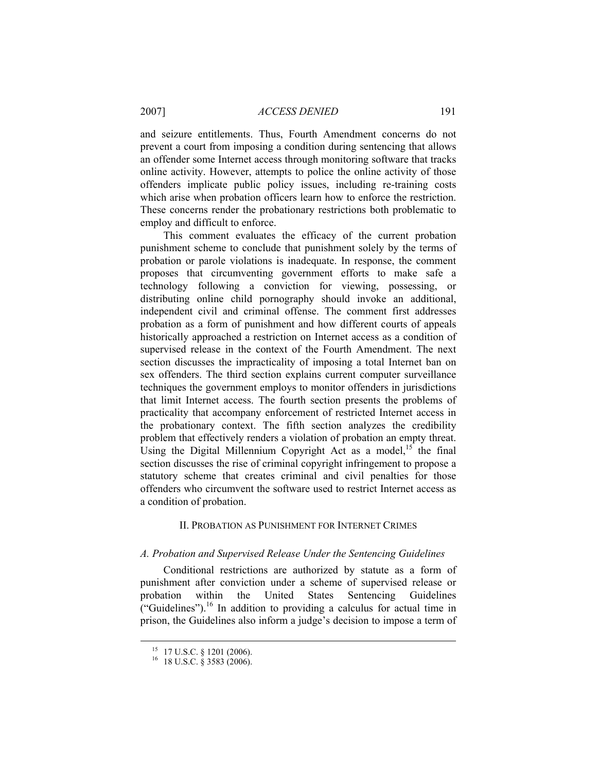and seizure entitlements. Thus, Fourth Amendment concerns do not prevent a court from imposing a condition during sentencing that allows an offender some Internet access through monitoring software that tracks online activity. However, attempts to police the online activity of those offenders implicate public policy issues, including re-training costs which arise when probation officers learn how to enforce the restriction. These concerns render the probationary restrictions both problematic to employ and difficult to enforce.

This comment evaluates the efficacy of the current probation punishment scheme to conclude that punishment solely by the terms of probation or parole violations is inadequate. In response, the comment proposes that circumventing government efforts to make safe a technology following a conviction for viewing, possessing, or distributing online child pornography should invoke an additional, independent civil and criminal offense. The comment first addresses probation as a form of punishment and how different courts of appeals historically approached a restriction on Internet access as a condition of supervised release in the context of the Fourth Amendment. The next section discusses the impracticality of imposing a total Internet ban on sex offenders. The third section explains current computer surveillance techniques the government employs to monitor offenders in jurisdictions that limit Internet access. The fourth section presents the problems of practicality that accompany enforcement of restricted Internet access in the probationary context. The fifth section analyzes the credibility problem that effectively renders a violation of probation an empty threat. Using the Digital Millennium Copyright Act as a model,<sup>15</sup> the final section discusses the rise of criminal copyright infringement to propose a statutory scheme that creates criminal and civil penalties for those offenders who circumvent the software used to restrict Internet access as a condition of probation.

# II. PROBATION AS PUNISHMENT FOR INTERNET CRIMES

#### *A. Probation and Supervised Release Under the Sentencing Guidelines*

Conditional restrictions are authorized by statute as a form of punishment after conviction under a scheme of supervised release or probation within the United States Sentencing Guidelines ("Guidelines").<sup>16</sup> In addition to providing a calculus for actual time in prison, the Guidelines also inform a judge's decision to impose a term of

<sup>&</sup>lt;sup>15</sup> 17 U.S.C. § 1201 (2006).<br><sup>16</sup> 18 U.S.C. § 3583 (2006).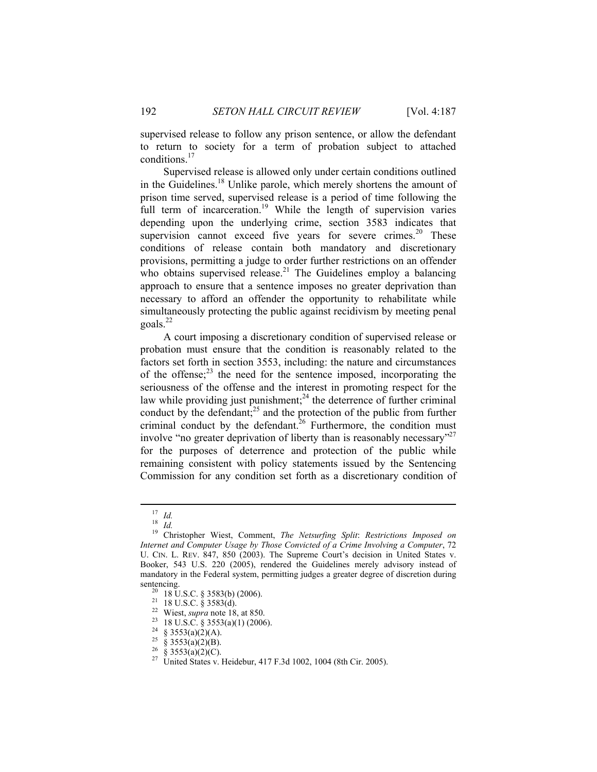supervised release to follow any prison sentence, or allow the defendant to return to society for a term of probation subject to attached conditions.<sup>17</sup>

Supervised release is allowed only under certain conditions outlined in the Guidelines.<sup>18</sup> Unlike parole, which merely shortens the amount of prison time served, supervised release is a period of time following the full term of incarceration.<sup>19</sup> While the length of supervision varies depending upon the underlying crime, section 3583 indicates that supervision cannot exceed five years for severe crimes.<sup>20</sup> These conditions of release contain both mandatory and discretionary provisions, permitting a judge to order further restrictions on an offender who obtains supervised release.<sup>21</sup> The Guidelines employ a balancing approach to ensure that a sentence imposes no greater deprivation than necessary to afford an offender the opportunity to rehabilitate while simultaneously protecting the public against recidivism by meeting penal goals.<sup>22</sup>

A court imposing a discretionary condition of supervised release or probation must ensure that the condition is reasonably related to the factors set forth in section 3553, including: the nature and circumstances of the offense; $^{23}$  the need for the sentence imposed, incorporating the seriousness of the offense and the interest in promoting respect for the law while providing just punishment;<sup>24</sup> the deterrence of further criminal conduct by the defendant; $^{25}$  and the protection of the public from further criminal conduct by the defendant.<sup>26</sup> Furthermore, the condition must involve "no greater deprivation of liberty than is reasonably necessary"<sup>27</sup> for the purposes of deterrence and protection of the public while remaining consistent with policy statements issued by the Sentencing Commission for any condition set forth as a discretionary condition of

<sup>17</sup> *Id.* <sup>18</sup> *Id.* 19 Christopher Wiest, Comment, *The Netsurfing Split*: *Restrictions Imposed on Internet and Computer Usage by Those Convicted of a Crime Involving a Computer*, 72 U. CIN. L. REV. 847, 850 (2003). The Supreme Court's decision in United States v. Booker, 543 U.S. 220 (2005), rendered the Guidelines merely advisory instead of mandatory in the Federal system, permitting judges a greater degree of discretion during

sentencing.<br><sup>20</sup> 18 U.S.C. § 3583(b) (2006).<br><sup>21</sup> 18 U.S.C. § 3583(d).<br><sup>22</sup> Wiest, *supra* note 18, at 850.<br><sup>23</sup> 18 U.S.C. § 3553(a)(1) (2006).<br><sup>24</sup> § 3553(a)(2)(A).

<sup>&</sup>lt;sup>25</sup> § 3553(a)(2)(B).<br><sup>26</sup> § 3553(a)(2)(C).

<sup>&</sup>lt;sup>27</sup> United States v. Heidebur, 417 F.3d 1002, 1004 (8th Cir. 2005).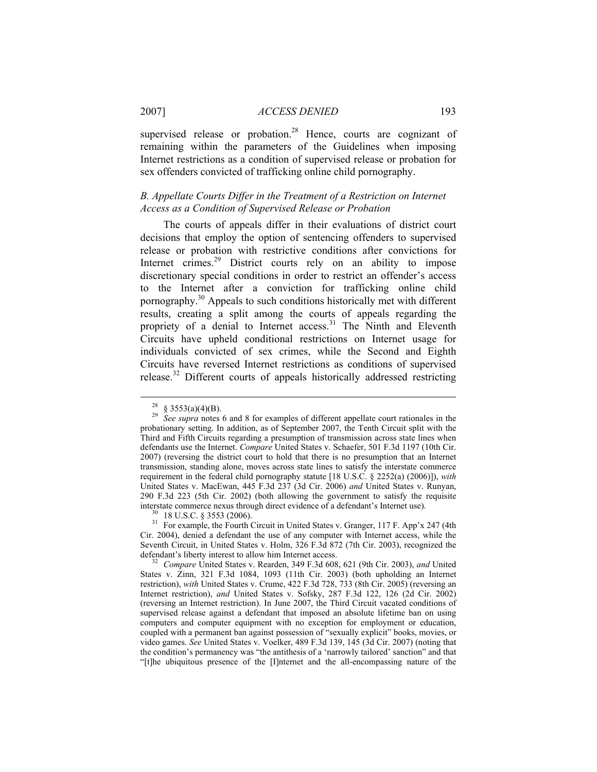# 2007] *ACCESS DENIED* 193

supervised release or probation.<sup>28</sup> Hence, courts are cognizant of remaining within the parameters of the Guidelines when imposing Internet restrictions as a condition of supervised release or probation for sex offenders convicted of trafficking online child pornography.

# *B. Appellate Courts Differ in the Treatment of a Restriction on Internet Access as a Condition of Supervised Release or Probation*

The courts of appeals differ in their evaluations of district court decisions that employ the option of sentencing offenders to supervised release or probation with restrictive conditions after convictions for Internet crimes.<sup>29</sup> District courts rely on an ability to impose discretionary special conditions in order to restrict an offender's access to the Internet after a conviction for trafficking online child pornography.30 Appeals to such conditions historically met with different results, creating a split among the courts of appeals regarding the propriety of a denial to Internet access.<sup>31</sup> The Ninth and Eleventh Circuits have upheld conditional restrictions on Internet usage for individuals convicted of sex crimes, while the Second and Eighth Circuits have reversed Internet restrictions as conditions of supervised release.32 Different courts of appeals historically addressed restricting

<sup>&</sup>lt;sup>28</sup> § 3553(a)(4)(B).<br><sup>29</sup> *See supra* notes 6 and 8 for examples of different appellate court rationales in the probationary setting. In addition, as of September 2007, the Tenth Circuit split with the Third and Fifth Circuits regarding a presumption of transmission across state lines when defendants use the Internet. *Compare* United States v. Schaefer, 501 F.3d 1197 (10th Cir. 2007) (reversing the district court to hold that there is no presumption that an Internet transmission, standing alone, moves across state lines to satisfy the interstate commerce requirement in the federal child pornography statute [18 U.S.C. § 2252(a) (2006)]), *with* United States v. MacEwan, 445 F.3d 237 (3d Cir. 2006) *and* United States v. Runyan, 290 F.3d 223 (5th Cir. 2002) (both allowing the government to satisfy the requisite interstate commerce nexus through direct evidence of a defendant's Internet use).<br><sup>30</sup> 18 U.S.C. § 3553 (2006).<br><sup>31</sup> For example, the Fourth Circuit in United States v. Granger, 117 F. App'x 247 (4th

Cir. 2004), denied a defendant the use of any computer with Internet access, while the Seventh Circuit, in United States v. Holm, 326 F.3d 872 (7th Cir. 2003), recognized the

<sup>&</sup>lt;sup>32</sup> Compare United States v. Rearden, 349 F.3d 608, 621 (9th Cir. 2003), *and* United States v. Zinn, 321 F.3d 1084, 1093 (11th Cir. 2003) (both upholding an Internet restriction), *with* United States v. Crume, 422 F.3d 728, 733 (8th Cir. 2005) (reversing an Internet restriction), *and* United States v. Sofsky, 287 F.3d 122, 126 (2d Cir. 2002) (reversing an Internet restriction). In June 2007, the Third Circuit vacated conditions of supervised release against a defendant that imposed an absolute lifetime ban on using computers and computer equipment with no exception for employment or education, coupled with a permanent ban against possession of "sexually explicit" books, movies, or video games. *See* United States v. Voelker, 489 F.3d 139, 145 (3d Cir. 2007) (noting that the condition's permanency was "the antithesis of a 'narrowly tailored' sanction" and that "[t]he ubiquitous presence of the [I]nternet and the all-encompassing nature of the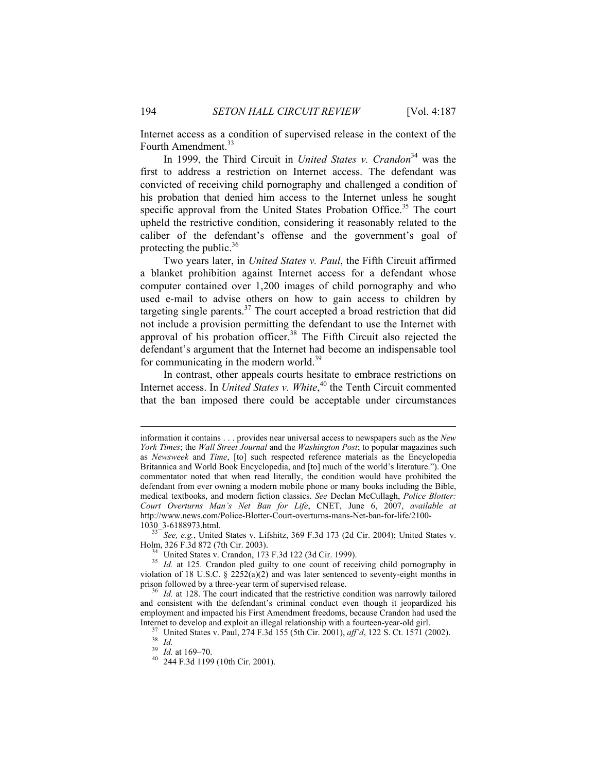Internet access as a condition of supervised release in the context of the Fourth Amendment.<sup>33</sup>

In 1999, the Third Circuit in *United States v. Crandon*<sup>34</sup> was the first to address a restriction on Internet access. The defendant was convicted of receiving child pornography and challenged a condition of his probation that denied him access to the Internet unless he sought specific approval from the United States Probation Office.<sup>35</sup> The court upheld the restrictive condition, considering it reasonably related to the caliber of the defendant's offense and the government's goal of protecting the public. $36$ 

Two years later, in *United States v. Paul*, the Fifth Circuit affirmed a blanket prohibition against Internet access for a defendant whose computer contained over 1,200 images of child pornography and who used e-mail to advise others on how to gain access to children by targeting single parents. $37$  The court accepted a broad restriction that did not include a provision permitting the defendant to use the Internet with approval of his probation officer.<sup>38</sup> The Fifth Circuit also rejected the defendant's argument that the Internet had become an indispensable tool for communicating in the modern world.<sup>39</sup>

In contrast, other appeals courts hesitate to embrace restrictions on Internet access. In *United States v. White*, 40 the Tenth Circuit commented that the ban imposed there could be acceptable under circumstances

 $\overline{a}$ 

information it contains . . . provides near universal access to newspapers such as the *New York Times*; the *Wall Street Journal* and the *Washington Post*; to popular magazines such as *Newsweek* and *Time*, [to] such respected reference materials as the Encyclopedia Britannica and World Book Encyclopedia, and [to] much of the world's literature."). One commentator noted that when read literally, the condition would have prohibited the defendant from ever owning a modern mobile phone or many books including the Bible, medical textbooks, and modern fiction classics. *See* Declan McCullagh, *Police Blotter: Court Overturns Man's Net Ban for Life*, CNET, June 6, 2007, *available at*  http://www.news.com/Police-Blotter-Court-overturns-mans-Net-ban-for-life/2100-

<sup>1030</sup>\_3-6188973.html.<br><sup>33</sup> See, e.g., United States v. Lifshitz, 369 F.3d 173 (2d Cir. 2004); United States v.<br>Holm, 326 F.3d 872 (7th Cir. 2003).

 $^{34}$  United States v. Crandon, 173 F.3d 122 (3d Cir. 1999).

<sup>&</sup>lt;sup>35</sup> *Id.* at 125. Crandon pled guilty to one count of receiving child pornography in violation of 18 U.S.C.  $\S$  2252(a)(2) and was later sentenced to seventy-eight months in prison followed by a three-year term of supervised release.<br><sup>36</sup> *Id.* at 128. The court indicated that the restrictive condition was narrowly tailored

and consistent with the defendant's criminal conduct even though it jeopardized his employment and impacted his First Amendment freedoms, because Crandon had used the

Internet to develop and exploit an illegal relationship with a fourteen-year-old girl.<br><sup>37</sup> United States v. Paul, 274 F.3d 155 (5th Cir. 2001), *aff'd*, 122 S. Ct. 1571 (2002).<br><sup>39</sup> Id. at 169–70.

<sup>39</sup> *Id.* at 169–70. 40 244 F.3d 1199 (10th Cir. 2001).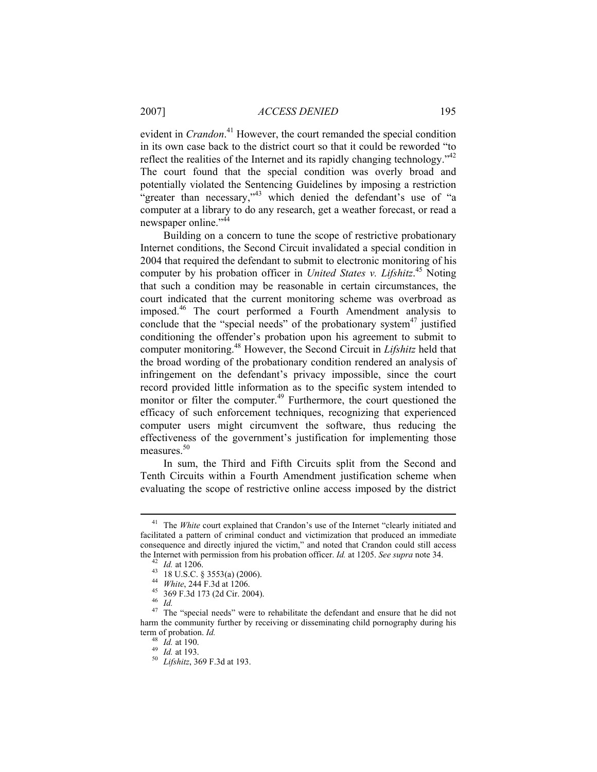evident in *Crandon*. 41 However, the court remanded the special condition in its own case back to the district court so that it could be reworded "to reflect the realities of the Internet and its rapidly changing technology."<sup>42</sup> The court found that the special condition was overly broad and potentially violated the Sentencing Guidelines by imposing a restriction "greater than necessary,"<sup>43</sup> which denied the defendant's use of "a computer at a library to do any research, get a weather forecast, or read a newspaper online."<sup>44</sup>

Building on a concern to tune the scope of restrictive probationary Internet conditions, the Second Circuit invalidated a special condition in 2004 that required the defendant to submit to electronic monitoring of his computer by his probation officer in *United States v. Lifshitz*.<sup>45</sup> Noting that such a condition may be reasonable in certain circumstances, the court indicated that the current monitoring scheme was overbroad as imposed.46 The court performed a Fourth Amendment analysis to conclude that the "special needs" of the probationary system $47$  justified conditioning the offender's probation upon his agreement to submit to computer monitoring.48 However, the Second Circuit in *Lifshitz* held that the broad wording of the probationary condition rendered an analysis of infringement on the defendant's privacy impossible, since the court record provided little information as to the specific system intended to monitor or filter the computer.<sup>49</sup> Furthermore, the court questioned the efficacy of such enforcement techniques, recognizing that experienced computer users might circumvent the software, thus reducing the effectiveness of the government's justification for implementing those measures.<sup>50</sup>

In sum, the Third and Fifth Circuits split from the Second and Tenth Circuits within a Fourth Amendment justification scheme when evaluating the scope of restrictive online access imposed by the district

<sup>&</sup>lt;sup>41</sup> The *White* court explained that Crandon's use of the Internet "clearly initiated and facilitated a pattern of criminal conduct and victimization that produced an immediate consequence and directly injured the victim," and noted that Crandon could still access

the Internet with permission from his probation officer. *Id.* at 1205. *See supra* note 34.<br><sup>42</sup> *Id.* at 1206.<br><sup>43</sup> 18 U.S.C. § 3553(a) (2006).<br><sup>44</sup> *White*, 244 F.3d at 1206.<br><sup>45</sup> 369 F.3d 173 (2d Cir. 2004).<br><sup>46</sup> *Id.* harm the community further by receiving or disseminating child pornography during his term of probation. *Id.* 

<sup>148</sup> *Id.* at 190.<br><sup>49</sup> *Id.* at 193.<br><sup>50</sup> *Lifshitz*, 369 F.3d at 193.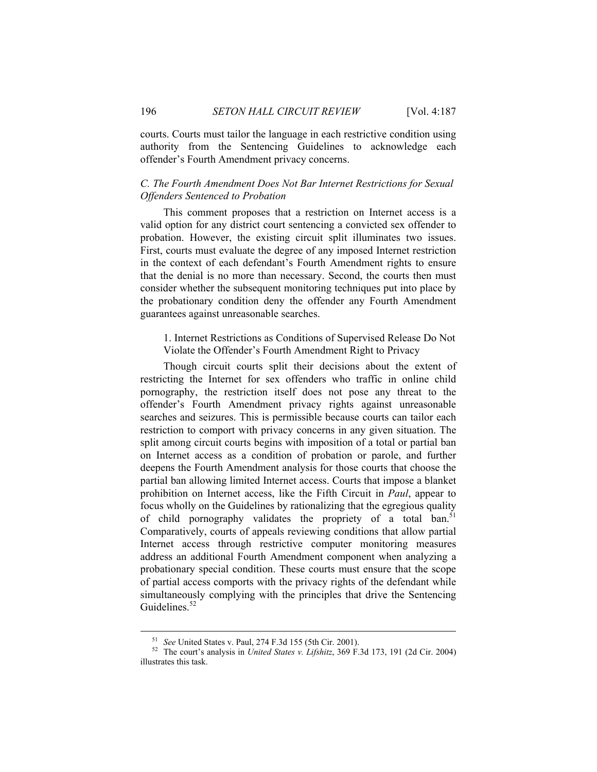courts. Courts must tailor the language in each restrictive condition using authority from the Sentencing Guidelines to acknowledge each offender's Fourth Amendment privacy concerns.

# *C. The Fourth Amendment Does Not Bar Internet Restrictions for Sexual Offenders Sentenced to Probation*

This comment proposes that a restriction on Internet access is a valid option for any district court sentencing a convicted sex offender to probation. However, the existing circuit split illuminates two issues. First, courts must evaluate the degree of any imposed Internet restriction in the context of each defendant's Fourth Amendment rights to ensure that the denial is no more than necessary. Second, the courts then must consider whether the subsequent monitoring techniques put into place by the probationary condition deny the offender any Fourth Amendment guarantees against unreasonable searches.

1. Internet Restrictions as Conditions of Supervised Release Do Not Violate the Offender's Fourth Amendment Right to Privacy

Though circuit courts split their decisions about the extent of restricting the Internet for sex offenders who traffic in online child pornography, the restriction itself does not pose any threat to the offender's Fourth Amendment privacy rights against unreasonable searches and seizures. This is permissible because courts can tailor each restriction to comport with privacy concerns in any given situation. The split among circuit courts begins with imposition of a total or partial ban on Internet access as a condition of probation or parole, and further deepens the Fourth Amendment analysis for those courts that choose the partial ban allowing limited Internet access. Courts that impose a blanket prohibition on Internet access, like the Fifth Circuit in *Paul*, appear to focus wholly on the Guidelines by rationalizing that the egregious quality of child pornography validates the propriety of a total ban.<sup>51</sup> Comparatively, courts of appeals reviewing conditions that allow partial Internet access through restrictive computer monitoring measures address an additional Fourth Amendment component when analyzing a probationary special condition. These courts must ensure that the scope of partial access comports with the privacy rights of the defendant while simultaneously complying with the principles that drive the Sentencing Guidelines.<sup>52</sup>

<sup>51</sup> *See* United States v. Paul, 274 F.3d 155 (5th Cir. 2001). 52 The court's analysis in *United States v. Lifshitz*, 369 F.3d 173, 191 (2d Cir. 2004) illustrates this task.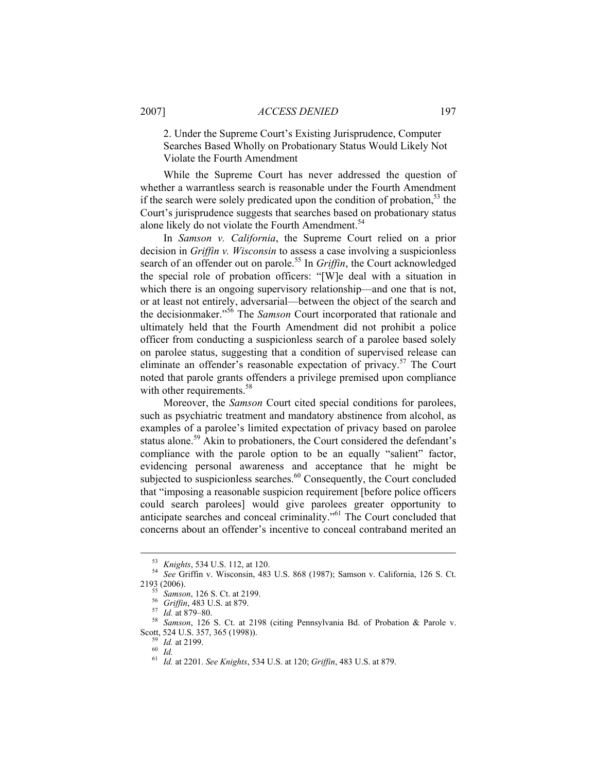# 2007] *ACCESS DENIED* 197

2. Under the Supreme Court's Existing Jurisprudence, Computer Searches Based Wholly on Probationary Status Would Likely Not Violate the Fourth Amendment

While the Supreme Court has never addressed the question of whether a warrantless search is reasonable under the Fourth Amendment if the search were solely predicated upon the condition of probation,<sup>53</sup> the Court's jurisprudence suggests that searches based on probationary status alone likely do not violate the Fourth Amendment.<sup>54</sup>

In *Samson v. California*, the Supreme Court relied on a prior decision in *Griffin v. Wisconsin* to assess a case involving a suspicionless search of an offender out on parole.<sup>55</sup> In *Griffin*, the Court acknowledged the special role of probation officers: "[W]e deal with a situation in which there is an ongoing supervisory relationship—and one that is not, or at least not entirely, adversarial—between the object of the search and the decisionmaker."56 The *Samson* Court incorporated that rationale and ultimately held that the Fourth Amendment did not prohibit a police officer from conducting a suspicionless search of a parolee based solely on parolee status, suggesting that a condition of supervised release can eliminate an offender's reasonable expectation of privacy.<sup>57</sup> The Court noted that parole grants offenders a privilege premised upon compliance with other requirements.<sup>58</sup>

Moreover, the *Samson* Court cited special conditions for parolees, such as psychiatric treatment and mandatory abstinence from alcohol, as examples of a parolee's limited expectation of privacy based on parolee status alone.<sup>59</sup> Akin to probationers, the Court considered the defendant's compliance with the parole option to be an equally "salient" factor, evidencing personal awareness and acceptance that he might be subjected to suspicionless searches.<sup>60</sup> Consequently, the Court concluded that "imposing a reasonable suspicion requirement [before police officers could search parolees] would give parolees greater opportunity to anticipate searches and conceal criminality."61 The Court concluded that concerns about an offender's incentive to conceal contraband merited an

<sup>53</sup> *Knights*, 534 U.S. 112, at 120. 54 *See* Griffin v. Wisconsin, 483 U.S. 868 (1987); Samson v. California, 126 S. Ct.

<sup>2193 (2006).&</sup>lt;br><sup>55</sup> *Samson*, 126 S. Ct. at 2199.<br><sup>56</sup> *Griffin*, 483 U.S. at 879.<br><sup>57</sup> *Id.* at 879–80.<br><sup>58</sup> *Samson*, 126 S. Ct. at 2198 (citing Pennsylvania Bd. of Probation & Parole v.<br>Scott, 524 U.S. 357, 365 (1998)).

Scott, 524 U.S. 357, 365 (1998)). 59 *Id.* at 2199. 60 *Id.* <sup>61</sup> *Id.* at 2201. *See Knights*, 534 U.S. at 120; *Griffin*, 483 U.S. at 879.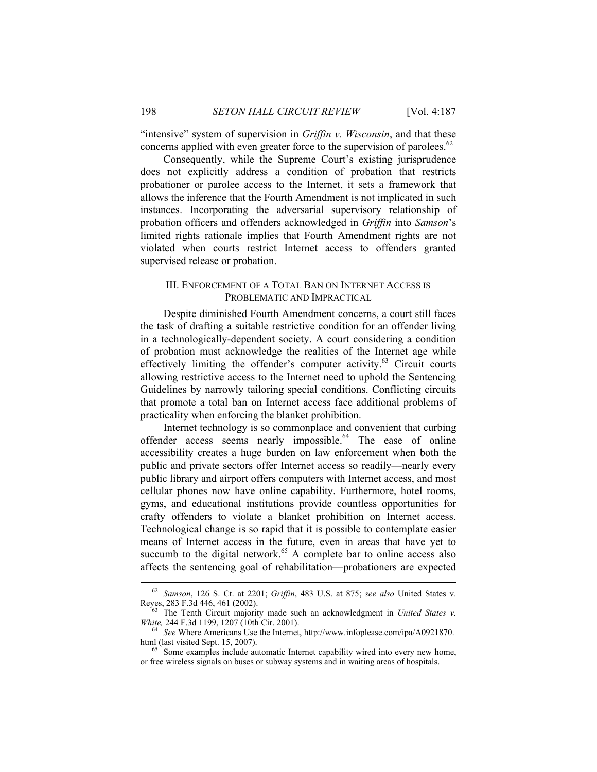"intensive" system of supervision in *Griffin v. Wisconsin*, and that these concerns applied with even greater force to the supervision of parolees.<sup>62</sup>

Consequently, while the Supreme Court's existing jurisprudence does not explicitly address a condition of probation that restricts probationer or parolee access to the Internet, it sets a framework that allows the inference that the Fourth Amendment is not implicated in such instances. Incorporating the adversarial supervisory relationship of probation officers and offenders acknowledged in *Griffin* into *Samson*'s limited rights rationale implies that Fourth Amendment rights are not violated when courts restrict Internet access to offenders granted supervised release or probation.

### III. ENFORCEMENT OF A TOTAL BAN ON INTERNET ACCESS IS PROBLEMATIC AND IMPRACTICAL

Despite diminished Fourth Amendment concerns, a court still faces the task of drafting a suitable restrictive condition for an offender living in a technologically-dependent society. A court considering a condition of probation must acknowledge the realities of the Internet age while effectively limiting the offender's computer activity.63 Circuit courts allowing restrictive access to the Internet need to uphold the Sentencing Guidelines by narrowly tailoring special conditions. Conflicting circuits that promote a total ban on Internet access face additional problems of practicality when enforcing the blanket prohibition.

Internet technology is so commonplace and convenient that curbing offender access seems nearly impossible.<sup>64</sup> The ease of online accessibility creates a huge burden on law enforcement when both the public and private sectors offer Internet access so readily—nearly every public library and airport offers computers with Internet access, and most cellular phones now have online capability. Furthermore, hotel rooms, gyms, and educational institutions provide countless opportunities for crafty offenders to violate a blanket prohibition on Internet access. Technological change is so rapid that it is possible to contemplate easier means of Internet access in the future, even in areas that have yet to succumb to the digital network.<sup>65</sup> A complete bar to online access also affects the sentencing goal of rehabilitation—probationers are expected

<sup>&</sup>lt;sup>62</sup> Samson, 126 S. Ct. at 2201; *Griffin*, 483 U.S. at 875; *see also* United States v.<br>Reyes, 283 F.3d 446, 461 (2002).<br><sup>63</sup> The Tenth Circuit majority mode such as a share between the state of the state

The Tenth Circuit majority made such an acknowledgment in *United States v.* 

*White, 244 F.3d 1199, 1207 (10th Cir. 2001).* <sup>64</sup> See Where Americans Use the Internet, http://www.infoplease.com/ipa/A0921870. html (last visited Sept. 15, 2007).

 $h<sup>65</sup>$  Some examples include automatic Internet capability wired into every new home, or free wireless signals on buses or subway systems and in waiting areas of hospitals.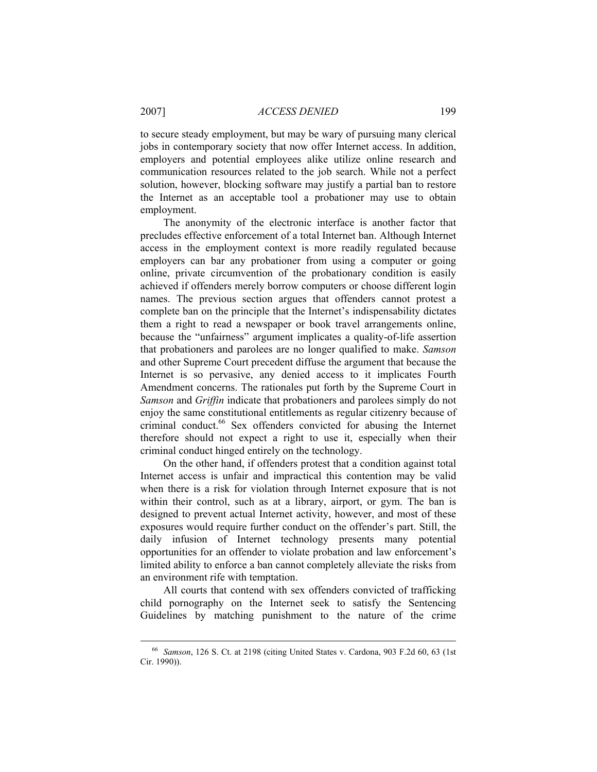to secure steady employment, but may be wary of pursuing many clerical jobs in contemporary society that now offer Internet access. In addition, employers and potential employees alike utilize online research and communication resources related to the job search. While not a perfect solution, however, blocking software may justify a partial ban to restore the Internet as an acceptable tool a probationer may use to obtain employment.

The anonymity of the electronic interface is another factor that precludes effective enforcement of a total Internet ban. Although Internet access in the employment context is more readily regulated because employers can bar any probationer from using a computer or going online, private circumvention of the probationary condition is easily achieved if offenders merely borrow computers or choose different login names. The previous section argues that offenders cannot protest a complete ban on the principle that the Internet's indispensability dictates them a right to read a newspaper or book travel arrangements online, because the "unfairness" argument implicates a quality-of-life assertion that probationers and parolees are no longer qualified to make. *Samson* and other Supreme Court precedent diffuse the argument that because the Internet is so pervasive, any denied access to it implicates Fourth Amendment concerns. The rationales put forth by the Supreme Court in *Samson* and *Griffin* indicate that probationers and parolees simply do not enjoy the same constitutional entitlements as regular citizenry because of criminal conduct.<sup>66</sup> Sex offenders convicted for abusing the Internet therefore should not expect a right to use it, especially when their criminal conduct hinged entirely on the technology.

On the other hand, if offenders protest that a condition against total Internet access is unfair and impractical this contention may be valid when there is a risk for violation through Internet exposure that is not within their control, such as at a library, airport, or gym. The ban is designed to prevent actual Internet activity, however, and most of these exposures would require further conduct on the offender's part. Still, the daily infusion of Internet technology presents many potential opportunities for an offender to violate probation and law enforcement's limited ability to enforce a ban cannot completely alleviate the risks from an environment rife with temptation.

All courts that contend with sex offenders convicted of trafficking child pornography on the Internet seek to satisfy the Sentencing Guidelines by matching punishment to the nature of the crime

 <sup>66</sup> *Samson*, 126 S. Ct. at 2198 (citing United States v. Cardona, 903 F.2d 60, 63 (1st Cir. 1990)).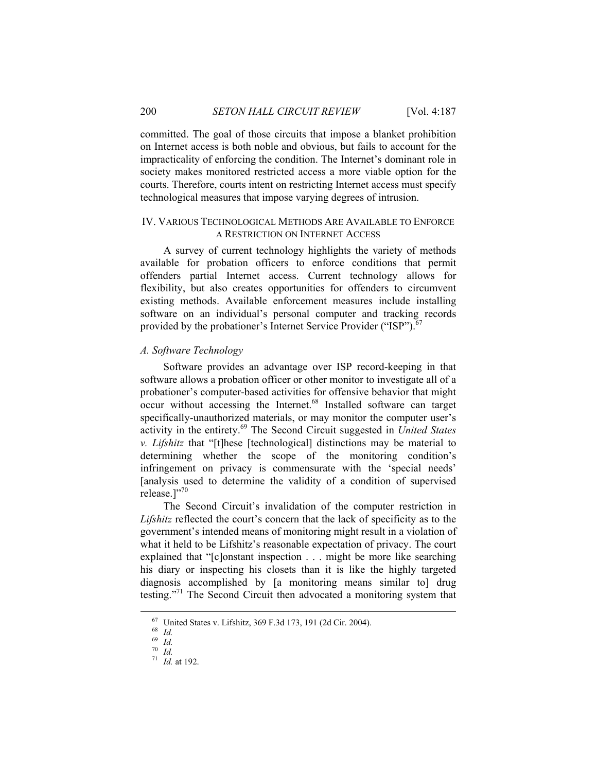committed. The goal of those circuits that impose a blanket prohibition on Internet access is both noble and obvious, but fails to account for the impracticality of enforcing the condition. The Internet's dominant role in society makes monitored restricted access a more viable option for the courts. Therefore, courts intent on restricting Internet access must specify technological measures that impose varying degrees of intrusion.

#### IV. VARIOUS TECHNOLOGICAL METHODS ARE AVAILABLE TO ENFORCE A RESTRICTION ON INTERNET ACCESS

A survey of current technology highlights the variety of methods available for probation officers to enforce conditions that permit offenders partial Internet access. Current technology allows for flexibility, but also creates opportunities for offenders to circumvent existing methods. Available enforcement measures include installing software on an individual's personal computer and tracking records provided by the probationer's Internet Service Provider ("ISP").<sup>6</sup>

#### *A. Software Technology*

Software provides an advantage over ISP record-keeping in that software allows a probation officer or other monitor to investigate all of a probationer's computer-based activities for offensive behavior that might  $\frac{1}{\sqrt{2}}$  occur without accessing the Internet.<sup>68</sup> Installed software can target specifically-unauthorized materials, or may monitor the computer user's activity in the entirety.69 The Second Circuit suggested in *United States v. Lifshitz* that "[t]hese [technological] distinctions may be material to determining whether the scope of the monitoring condition's infringement on privacy is commensurate with the 'special needs' [analysis used to determine the validity of a condition of supervised release.]"70

The Second Circuit's invalidation of the computer restriction in *Lifshitz* reflected the court's concern that the lack of specificity as to the government's intended means of monitoring might result in a violation of what it held to be Lifshitz's reasonable expectation of privacy. The court explained that "[c]onstant inspection . . . might be more like searching his diary or inspecting his closets than it is like the highly targeted diagnosis accomplished by [a monitoring means similar to] drug testing."71 The Second Circuit then advocated a monitoring system that

 <sup>67</sup> United States v. Lifshitz, 369 F.3d 173, 191 (2d Cir. 2004). 68 *Id.*

 $\begin{array}{c} 69 \ \hline 70 \ \hline 70 \ \hline \end{array}$  *Id.* 

 $71$  *Id.* at 192.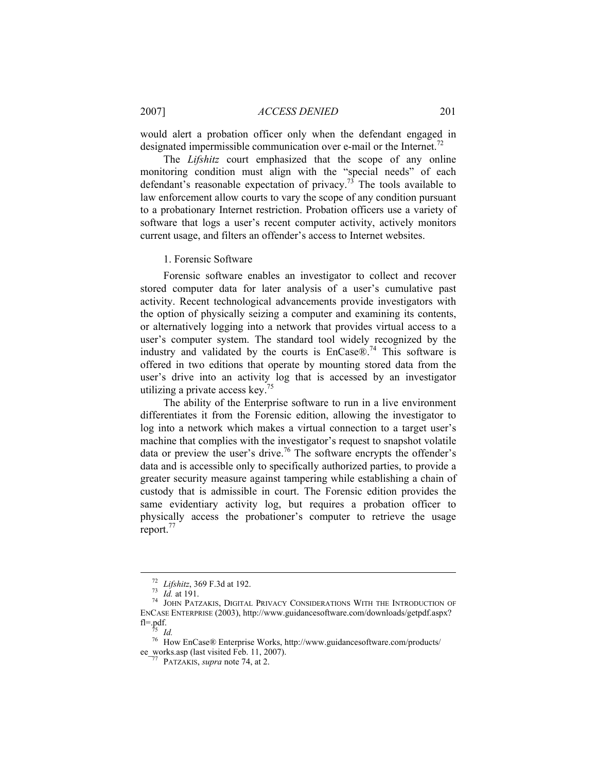2007] *ACCESS DENIED* 201

would alert a probation officer only when the defendant engaged in designated impermissible communication over e-mail or the Internet.<sup>72</sup>

The *Lifshitz* court emphasized that the scope of any online monitoring condition must align with the "special needs" of each defendant's reasonable expectation of privacy.<sup>73</sup> The tools available to law enforcement allow courts to vary the scope of any condition pursuant to a probationary Internet restriction. Probation officers use a variety of software that logs a user's recent computer activity, actively monitors current usage, and filters an offender's access to Internet websites.

1. Forensic Software

Forensic software enables an investigator to collect and recover stored computer data for later analysis of a user's cumulative past activity. Recent technological advancements provide investigators with the option of physically seizing a computer and examining its contents, or alternatively logging into a network that provides virtual access to a user's computer system. The standard tool widely recognized by the industry and validated by the courts is  $Encase@$ .<sup>74</sup> This software is offered in two editions that operate by mounting stored data from the user's drive into an activity log that is accessed by an investigator utilizing a private access key.75

The ability of the Enterprise software to run in a live environment differentiates it from the Forensic edition, allowing the investigator to log into a network which makes a virtual connection to a target user's machine that complies with the investigator's request to snapshot volatile data or preview the user's drive.76 The software encrypts the offender's data and is accessible only to specifically authorized parties, to provide a greater security measure against tampering while establishing a chain of custody that is admissible in court. The Forensic edition provides the same evidentiary activity log, but requires a probation officer to physically access the probationer's computer to retrieve the usage report.<sup>77</sup>

<sup>&</sup>lt;sup>72</sup> Lifshitz, 369 F.3d at 192.<br><sup>73</sup> Id. at 191.<br><sup>74</sup> JOHN PATZAKIS, DIGITAL PRIVACY CONSIDERATIONS WITH THE INTRODUCTION OF ENCASE ENTERPRISE (2003), http://www.guidancesoftware.com/downloads/getpdf.aspx? fl=.pdf.

<sup>&</sup>lt;sup>75</sup> *Id.*<br><sup>76</sup> How EnCase® Enterprise Works, http://www.guidancesoftware.com/products/ ee\_works.asp (last visited Feb. 11, 2007). 77 PATZAKIS, *supra* note 74, at 2.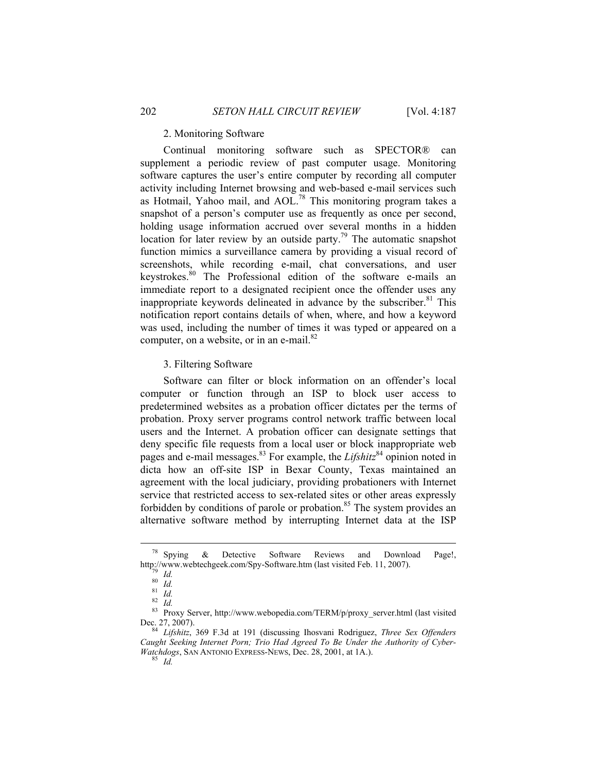## 2. Monitoring Software

Continual monitoring software such as SPECTOR® can supplement a periodic review of past computer usage. Monitoring software captures the user's entire computer by recording all computer activity including Internet browsing and web-based e-mail services such as Hotmail, Yahoo mail, and AOL.78 This monitoring program takes a snapshot of a person's computer use as frequently as once per second, holding usage information accrued over several months in a hidden location for later review by an outside party.<sup>79</sup> The automatic snapshot function mimics a surveillance camera by providing a visual record of screenshots, while recording e-mail, chat conversations, and user keystrokes.<sup>80</sup> The Professional edition of the software e-mails an immediate report to a designated recipient once the offender uses any inappropriate keywords delineated in advance by the subscriber. $81$  This notification report contains details of when, where, and how a keyword was used, including the number of times it was typed or appeared on a computer, on a website, or in an e-mail. $82$ 

3. Filtering Software

Software can filter or block information on an offender's local computer or function through an ISP to block user access to predetermined websites as a probation officer dictates per the terms of probation. Proxy server programs control network traffic between local users and the Internet. A probation officer can designate settings that deny specific file requests from a local user or block inappropriate web pages and e-mail messages.<sup>83</sup> For example, the *Lifshitz*<sup>84</sup> opinion noted in dicta how an off-site ISP in Bexar County, Texas maintained an agreement with the local judiciary, providing probationers with Internet service that restricted access to sex-related sites or other areas expressly forbidden by conditions of parole or probation.<sup>85</sup> The system provides an alternative software method by interrupting Internet data at the ISP

 <sup>78</sup> Spying & Detective Software Reviews and Download Page!, <sup>78</sup> Spying & Detective Software Reviews and Download Page!,<br>
http://www.webtechgeek.com/Spy-Software.htm (last visited Feb. 11, 2007).<br>
<sup>81</sup> *Id.*<br>
<sup>82</sup> *Id.* 8<sup>2</sup> *Id.* 82<sup>8</sup> Proxy Server, http://www.webopedia.com/TERM/p

Dec. 27, 2007). 84 *Lifshitz*, 369 F.3d at 191 (discussing Ihosvani Rodriguez, *Three Sex Offenders* 

*Caught Seeking Internet Porn; Trio Had Agreed To Be Under the Authority of Cyber-Watchdogs*, SAN ANTONIO EXPRESS-NEWS, Dec. 28, 2001, at 1A.). 85 *Id.*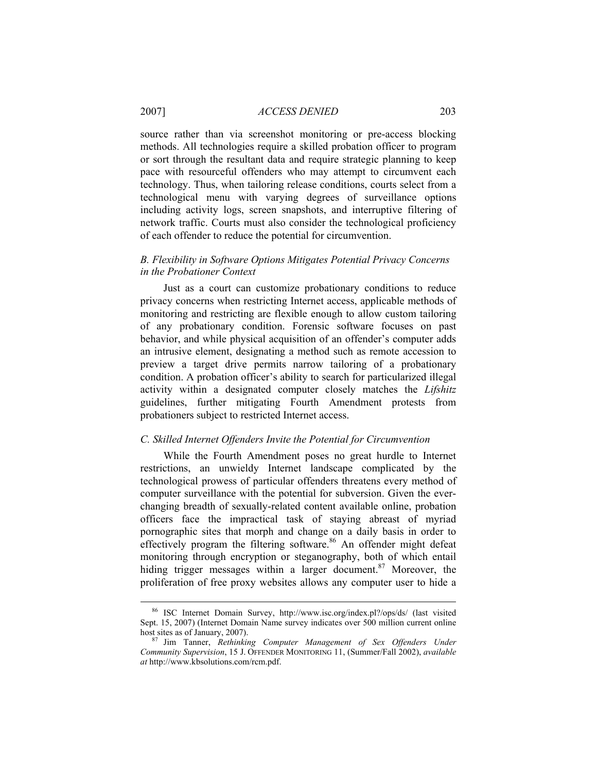# 2007] *ACCESS DENIED* 203

source rather than via screenshot monitoring or pre-access blocking methods. All technologies require a skilled probation officer to program or sort through the resultant data and require strategic planning to keep pace with resourceful offenders who may attempt to circumvent each technology. Thus, when tailoring release conditions, courts select from a technological menu with varying degrees of surveillance options including activity logs, screen snapshots, and interruptive filtering of network traffic. Courts must also consider the technological proficiency of each offender to reduce the potential for circumvention.

### *B. Flexibility in Software Options Mitigates Potential Privacy Concerns in the Probationer Context*

Just as a court can customize probationary conditions to reduce privacy concerns when restricting Internet access, applicable methods of monitoring and restricting are flexible enough to allow custom tailoring of any probationary condition. Forensic software focuses on past behavior, and while physical acquisition of an offender's computer adds an intrusive element, designating a method such as remote accession to preview a target drive permits narrow tailoring of a probationary condition. A probation officer's ability to search for particularized illegal activity within a designated computer closely matches the *Lifshitz* guidelines, further mitigating Fourth Amendment protests from probationers subject to restricted Internet access.

#### *C. Skilled Internet Offenders Invite the Potential for Circumvention*

While the Fourth Amendment poses no great hurdle to Internet restrictions, an unwieldy Internet landscape complicated by the technological prowess of particular offenders threatens every method of computer surveillance with the potential for subversion. Given the everchanging breadth of sexually-related content available online, probation officers face the impractical task of staying abreast of myriad pornographic sites that morph and change on a daily basis in order to effectively program the filtering software.<sup>86</sup> An offender might defeat monitoring through encryption or steganography, both of which entail hiding trigger messages within a larger document.<sup>87</sup> Moreover, the proliferation of free proxy websites allows any computer user to hide a

 <sup>86</sup> ISC Internet Domain Survey, http://www.isc.org/index.pl?/ops/ds/ (last visited Sept. 15, 2007) (Internet Domain Name survey indicates over 500 million current online host sites as of January, 2007).

 $h^{87}$  Jim Tanner, *Rethinking Computer Management of Sex Offenders Under Community Supervision*, 15 J. OFFENDER MONITORING 11, (Summer/Fall 2002), *available at* http://www.kbsolutions.com/rcm.pdf.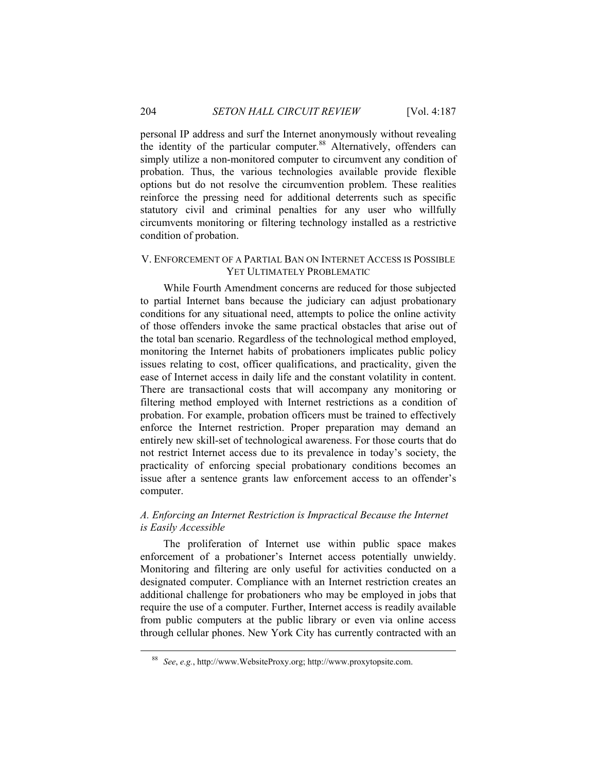personal IP address and surf the Internet anonymously without revealing the identity of the particular computer.<sup>88</sup> Alternatively, offenders can simply utilize a non-monitored computer to circumvent any condition of probation. Thus, the various technologies available provide flexible options but do not resolve the circumvention problem. These realities reinforce the pressing need for additional deterrents such as specific statutory civil and criminal penalties for any user who willfully circumvents monitoring or filtering technology installed as a restrictive condition of probation.

#### V. ENFORCEMENT OF A PARTIAL BAN ON INTERNET ACCESS IS POSSIBLE YET ULTIMATELY PROBLEMATIC

While Fourth Amendment concerns are reduced for those subjected to partial Internet bans because the judiciary can adjust probationary conditions for any situational need, attempts to police the online activity of those offenders invoke the same practical obstacles that arise out of the total ban scenario. Regardless of the technological method employed, monitoring the Internet habits of probationers implicates public policy issues relating to cost, officer qualifications, and practicality, given the ease of Internet access in daily life and the constant volatility in content. There are transactional costs that will accompany any monitoring or filtering method employed with Internet restrictions as a condition of probation. For example, probation officers must be trained to effectively enforce the Internet restriction. Proper preparation may demand an entirely new skill-set of technological awareness. For those courts that do not restrict Internet access due to its prevalence in today's society, the practicality of enforcing special probationary conditions becomes an issue after a sentence grants law enforcement access to an offender's computer.

# *A. Enforcing an Internet Restriction is Impractical Because the Internet is Easily Accessible*

The proliferation of Internet use within public space makes enforcement of a probationer's Internet access potentially unwieldy. Monitoring and filtering are only useful for activities conducted on a designated computer. Compliance with an Internet restriction creates an additional challenge for probationers who may be employed in jobs that require the use of a computer. Further, Internet access is readily available from public computers at the public library or even via online access through cellular phones. New York City has currently contracted with an

 <sup>88</sup> *See*, *e.g.*, http://www.WebsiteProxy.org; http://www.proxytopsite.com.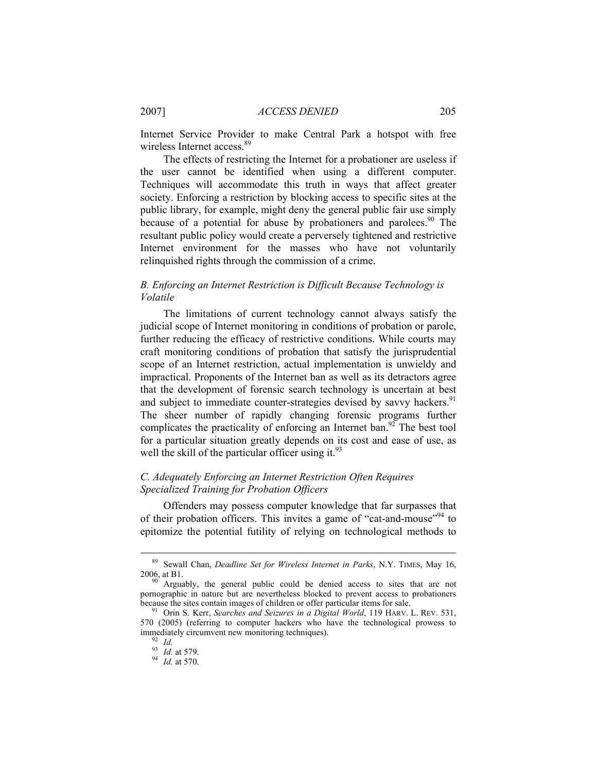Internet Service Provider to make Central Park a hotspot with free wireless Internet access.<sup>89</sup>

The effects of restricting the Internet for a probationer are useless if the user cannot be identified when using a different computer. Techniques will accommodate this truth in ways that affect greater society. Enforcing a restriction by blocking access to specific sites at the public library, for example, might deny the general public fair use simply because of a potential for abuse by probationers and parolees. <sup>90</sup> The resultant public policy would create a perversely tightened and restrictive Internet environment for the masses who have not voluntarily relinquished rights through the commission of a crime.

# *B. Enforcing an Internet Restriction is Difficult Because Technology is Volatile*

The limitations of current technology cannot always satisfy the judicial scope of Internet monitoring in conditions of probation or parole, further reducing the efficacy of restrictive conditions. While courts may craft monitoring conditions of probation that satisfy the jurisprudential scope of an Internet restriction, actual implementation is unwieldy and impractical. Proponents of the Internet ban as well as its detractors agree that the development of forensic search technology is uncertain at best and subject to immediate counter-strategies devised by savvy hackers.<sup>91</sup> The sheer number of rapidly changing forensic programs further complicates the practicality of enforcing an Internet ban.<sup>92</sup> The best tool for a particular situation greatly depends on its cost and ease of use, as well the skill of the particular officer using it. $93$ 

# *C. Adequately Enforcing an Internet Restriction Often Requires Specialized Training for Probation Officers*

Offenders may possess computer knowledge that far surpasses that of their probation officers. This invites a game of "cat-and-mouse"<sup>94</sup> to epitomize the potential futility of relying on technological methods to

 <sup>89</sup> Sewall Chan, *Deadline Set for Wireless Internet in Parks*, N.Y. TIMES, May 16,

Arguably, the general public could be denied access to sites that are not pornographic in nature but are nevertheless blocked to prevent access to probationers because the sites contain images of children or offer particular items for sale.

because the sites contain images of children or offer particular items for sale. 91 Orin S. Kerr, *Searches and Seizures in a Digital World*, 119 HARV. L. REV. 531, 570 (2005) (referring to computer hackers who have the technological prowess to immediately circumvent new monitoring techniques).

<sup>93</sup> *Id.* at 579. 94 *Id.* at 570.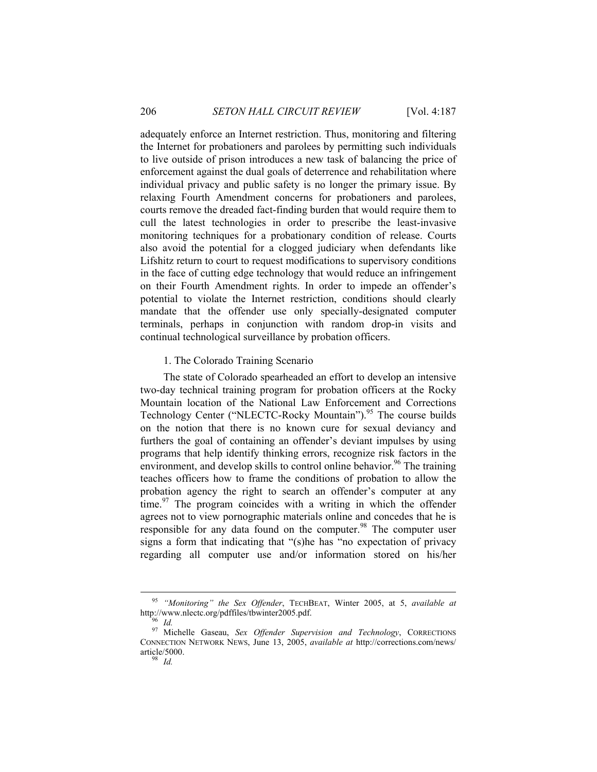adequately enforce an Internet restriction. Thus, monitoring and filtering the Internet for probationers and parolees by permitting such individuals to live outside of prison introduces a new task of balancing the price of enforcement against the dual goals of deterrence and rehabilitation where individual privacy and public safety is no longer the primary issue. By relaxing Fourth Amendment concerns for probationers and parolees, courts remove the dreaded fact-finding burden that would require them to cull the latest technologies in order to prescribe the least-invasive monitoring techniques for a probationary condition of release. Courts also avoid the potential for a clogged judiciary when defendants like Lifshitz return to court to request modifications to supervisory conditions in the face of cutting edge technology that would reduce an infringement on their Fourth Amendment rights. In order to impede an offender's potential to violate the Internet restriction, conditions should clearly mandate that the offender use only specially-designated computer terminals, perhaps in conjunction with random drop-in visits and continual technological surveillance by probation officers.

#### 1. The Colorado Training Scenario

The state of Colorado spearheaded an effort to develop an intensive two-day technical training program for probation officers at the Rocky Mountain location of the National Law Enforcement and Corrections Technology Center ("NLECTC-Rocky Mountain").<sup>95</sup> The course builds on the notion that there is no known cure for sexual deviancy and furthers the goal of containing an offender's deviant impulses by using programs that help identify thinking errors, recognize risk factors in the environment, and develop skills to control online behavior.<sup>96</sup> The training teaches officers how to frame the conditions of probation to allow the probation agency the right to search an offender's computer at any time. $97$  The program coincides with a writing in which the offender agrees not to view pornographic materials online and concedes that he is responsible for any data found on the computer.<sup>98</sup> The computer user signs a form that indicating that "(s)he has "no expectation of privacy regarding all computer use and/or information stored on his/her

<sup>&</sup>lt;sup>95</sup> "Monitoring" the Sex Offender, TECHBEAT, Winter 2005, at 5, *available at* http://www.nlectc.org/pdffiles/tbwinter2005.pdf.

<sup>&</sup>lt;sup>96</sup> Id. <sup>97</sup> Michelle Gaseau, *Sex Offender Supervision and Technology*, CORRECTIONS<sup>97</sup> CONNECTION NETWORK NEWS, June 13, 2005, *available at* http://corrections.com/news/ article/5000. 98 *Id.*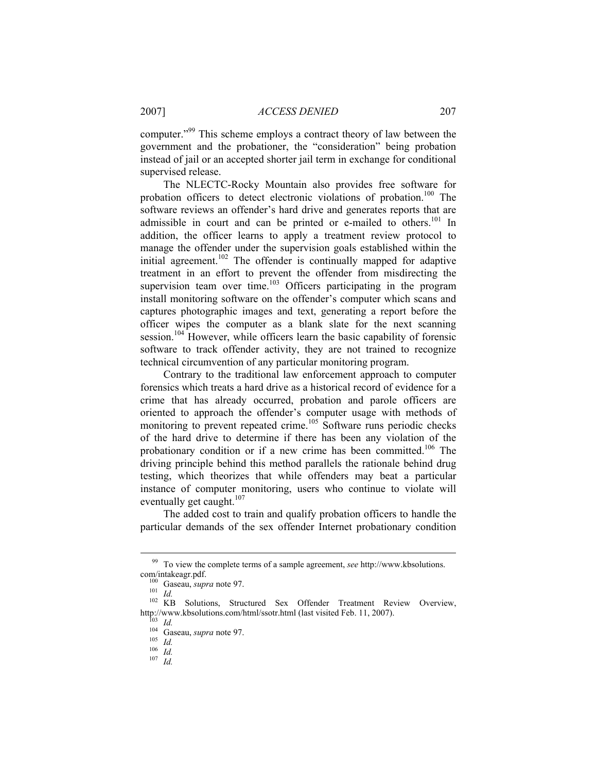computer."99 This scheme employs a contract theory of law between the government and the probationer, the "consideration" being probation instead of jail or an accepted shorter jail term in exchange for conditional supervised release.

The NLECTC-Rocky Mountain also provides free software for probation officers to detect electronic violations of probation.<sup>100</sup> The software reviews an offender's hard drive and generates reports that are admissible in court and can be printed or e-mailed to others.<sup>101</sup> In addition, the officer learns to apply a treatment review protocol to manage the offender under the supervision goals established within the initial agreement.<sup>102</sup> The offender is continually mapped for adaptive treatment in an effort to prevent the offender from misdirecting the supervision team over time.<sup>103</sup> Officers participating in the program install monitoring software on the offender's computer which scans and captures photographic images and text, generating a report before the officer wipes the computer as a blank slate for the next scanning session.<sup>104</sup> However, while officers learn the basic capability of forensic software to track offender activity, they are not trained to recognize technical circumvention of any particular monitoring program.

Contrary to the traditional law enforcement approach to computer forensics which treats a hard drive as a historical record of evidence for a crime that has already occurred, probation and parole officers are oriented to approach the offender's computer usage with methods of monitoring to prevent repeated crime.<sup>105</sup> Software runs periodic checks of the hard drive to determine if there has been any violation of the probationary condition or if a new crime has been committed.<sup>106</sup> The driving principle behind this method parallels the rationale behind drug testing, which theorizes that while offenders may beat a particular instance of computer monitoring, users who continue to violate will eventually get caught. $107$ 

The added cost to train and qualify probation officers to handle the particular demands of the sex offender Internet probationary condition

<sup>&</sup>lt;sup>99</sup> To view the complete terms of a sample agreement, *see* http://www.kbsolutions.<br>com/intakeagr.pdf.<br><sup>100</sup> Gaseau, sung note 97

<sup>&</sup>lt;sup>100</sup> Gaseau, *supra* note 97.<br><sup>101</sup> *Id.* <br><sup>102</sup> KB Solutions, Structured Sex Offender Treatment Review Overview, http://www.kbsolutions.com/html/ssotr.html (last visited Feb. 11, 2007).<br><sup>103</sup> *Id.*<br><sup>104</sup> Gaseau, *supra* note 97.<br><sup>105</sup> *Id.*<br><sup>106</sup> *Id.*<br><sup>107</sup> *Id.*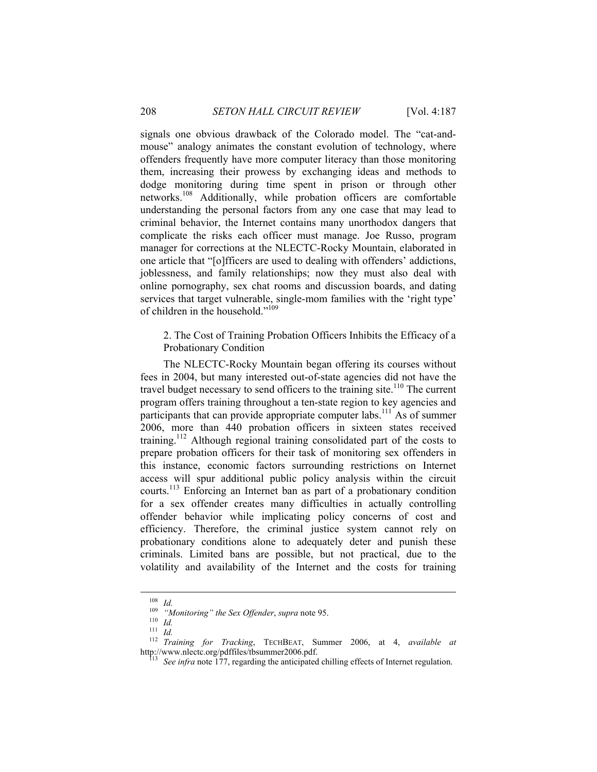signals one obvious drawback of the Colorado model. The "cat-andmouse" analogy animates the constant evolution of technology, where offenders frequently have more computer literacy than those monitoring them, increasing their prowess by exchanging ideas and methods to dodge monitoring during time spent in prison or through other networks.108 Additionally, while probation officers are comfortable understanding the personal factors from any one case that may lead to criminal behavior, the Internet contains many unorthodox dangers that complicate the risks each officer must manage. Joe Russo, program manager for corrections at the NLECTC-Rocky Mountain, elaborated in one article that "[o]fficers are used to dealing with offenders' addictions, joblessness, and family relationships; now they must also deal with online pornography, sex chat rooms and discussion boards, and dating services that target vulnerable, single-mom families with the 'right type' of children in the household."109

2. The Cost of Training Probation Officers Inhibits the Efficacy of a Probationary Condition

The NLECTC-Rocky Mountain began offering its courses without fees in 2004, but many interested out-of-state agencies did not have the travel budget necessary to send officers to the training site.<sup>110</sup> The current program offers training throughout a ten-state region to key agencies and participants that can provide appropriate computer labs.<sup>111</sup> As of summer 2006, more than 440 probation officers in sixteen states received training.112 Although regional training consolidated part of the costs to prepare probation officers for their task of monitoring sex offenders in this instance, economic factors surrounding restrictions on Internet access will spur additional public policy analysis within the circuit courts.113 Enforcing an Internet ban as part of a probationary condition for a sex offender creates many difficulties in actually controlling offender behavior while implicating policy concerns of cost and efficiency. Therefore, the criminal justice system cannot rely on probationary conditions alone to adequately deter and punish these criminals. Limited bans are possible, but not practical, due to the volatility and availability of the Internet and the costs for training

<sup>108</sup> *Id.* <sup>109</sup> *"Monitoring" the Sex Offender*, *supra* note 95. 110 *Id.* <sup>111</sup> *Id.* <sup>112</sup> *Training for Tracking*, TECHBEAT, Summer 2006, at 4, *available at*  http://www.nlectc.org/pdffiles/tbsummer2006.pdf.<br><sup>113</sup> See infra note 177, regarding the anticipated chilling effects of Internet regulation.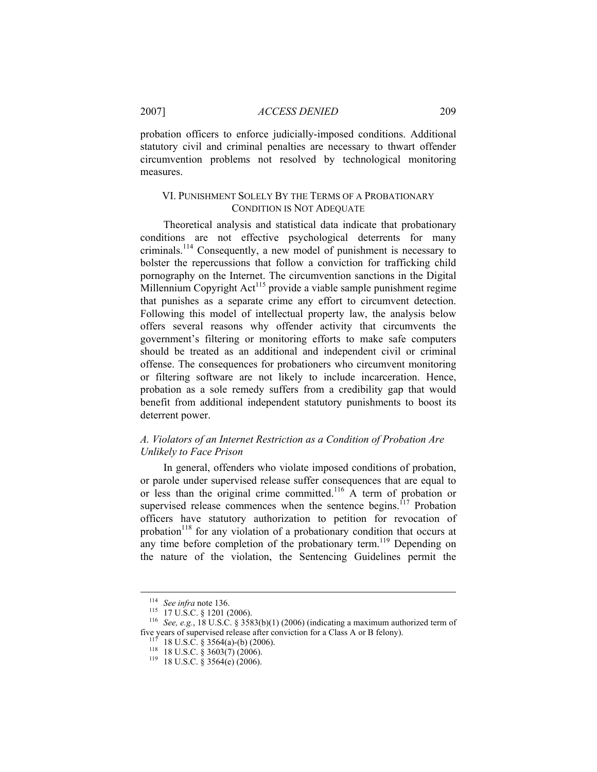# 2007] *ACCESS DENIED* 209

probation officers to enforce judicially-imposed conditions. Additional statutory civil and criminal penalties are necessary to thwart offender circumvention problems not resolved by technological monitoring measures.

## VI. PUNISHMENT SOLELY BY THE TERMS OF A PROBATIONARY CONDITION IS NOT ADEQUATE

Theoretical analysis and statistical data indicate that probationary conditions are not effective psychological deterrents for many criminals.114 Consequently, a new model of punishment is necessary to bolster the repercussions that follow a conviction for trafficking child pornography on the Internet. The circumvention sanctions in the Digital Millennium Copyright Act<sup>115</sup> provide a viable sample punishment regime that punishes as a separate crime any effort to circumvent detection. Following this model of intellectual property law, the analysis below offers several reasons why offender activity that circumvents the government's filtering or monitoring efforts to make safe computers should be treated as an additional and independent civil or criminal offense. The consequences for probationers who circumvent monitoring or filtering software are not likely to include incarceration. Hence, probation as a sole remedy suffers from a credibility gap that would benefit from additional independent statutory punishments to boost its deterrent power.

# *A. Violators of an Internet Restriction as a Condition of Probation Are Unlikely to Face Prison*

In general, offenders who violate imposed conditions of probation, or parole under supervised release suffer consequences that are equal to or less than the original crime committed.116 A term of probation or supervised release commences when the sentence begins.<sup>117</sup> Probation officers have statutory authorization to petition for revocation of probation<sup>118</sup> for any violation of a probationary condition that occurs at any time before completion of the probationary term.<sup>119</sup> Depending on the nature of the violation, the Sentencing Guidelines permit the

<sup>&</sup>lt;sup>114</sup> See infra note 136.<br><sup>115</sup> 17 U.S.C. § 1201 (2006).<br><sup>116</sup> See, e.g., 18 U.S.C. § 3583(b)(1) (2006) (indicating a maximum authorized term of<br>five years of supervised release after conviction for a Class A or B felony).

five years of the conviction for a Class A or B felony). 118 IS U.S.C. § 3603(7) (2006). 119 18 U.S.C. § 3564(e) (2006).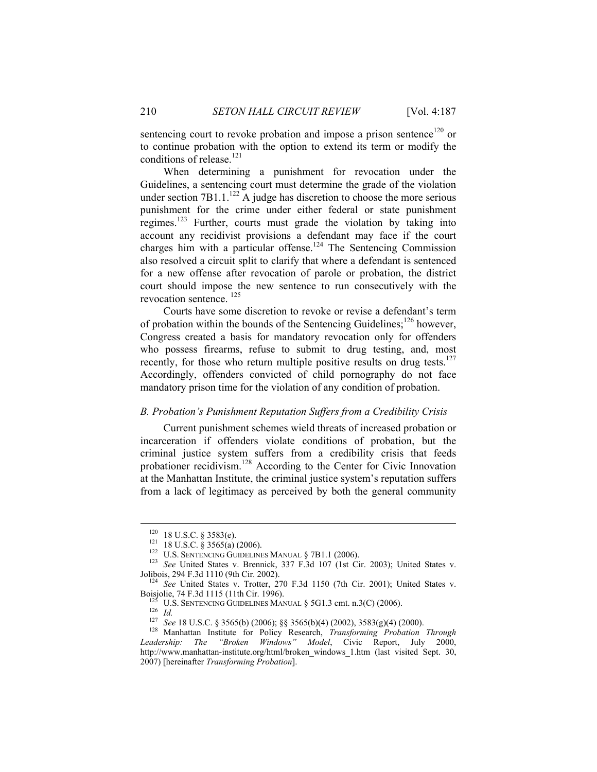sentencing court to revoke probation and impose a prison sentence<sup>120</sup> or to continue probation with the option to extend its term or modify the conditions of release.<sup>121</sup>

When determining a punishment for revocation under the Guidelines, a sentencing court must determine the grade of the violation under section 7B1.1.<sup>122</sup> A judge has discretion to choose the more serious punishment for the crime under either federal or state punishment regimes.<sup>123</sup> Further, courts must grade the violation by taking into account any recidivist provisions a defendant may face if the court charges him with a particular offense.<sup>124</sup> The Sentencing Commission also resolved a circuit split to clarify that where a defendant is sentenced for a new offense after revocation of parole or probation, the district court should impose the new sentence to run consecutively with the revocation sentence. 125

Courts have some discretion to revoke or revise a defendant's term of probation within the bounds of the Sentencing Guidelines;<sup>126</sup> however, Congress created a basis for mandatory revocation only for offenders who possess firearms, refuse to submit to drug testing, and, most recently, for those who return multiple positive results on drug tests. $127$ Accordingly, offenders convicted of child pornography do not face mandatory prison time for the violation of any condition of probation.

#### *B. Probation's Punishment Reputation Suffers from a Credibility Crisis*

Current punishment schemes wield threats of increased probation or incarceration if offenders violate conditions of probation, but the criminal justice system suffers from a credibility crisis that feeds probationer recidivism.128 According to the Center for Civic Innovation at the Manhattan Institute, the criminal justice system's reputation suffers from a lack of legitimacy as perceived by both the general community

<sup>&</sup>lt;sup>120</sup> 18 U.S.C. § 3583(e).<br><sup>121</sup> 18 U.S.C. § 3565(a) (2006).<br><sup>122</sup> U.S. SENTENCING GUIDELINES MANUAL § 7B1.1 (2006).<br><sup>123</sup> *See* United States v. Brennick, 337 F.3d 107 (1st Cir. 2003); United States v.<br>Jolibois. 294 F.3d

<sup>&</sup>lt;sup>124</sup> See United States v. Trotter, 270 F.3d 1150 (7th Cir. 2001); United States v. Boisjolie, 74 F.3d 1115 (11th Cir. 1996).

<sup>&</sup>lt;sup>125</sup> U.S. SENTENCING GUIDELINES MANUAL § 5G1.3 cmt. n.3(C) (2006).<br><sup>126</sup> Id.<br><sup>127</sup> See 18 U.S.C. § 3565(b) (2006); §§ 3565(b)(4) (2002), 3583(g)(4) (2000).<br><sup>128</sup> Manhattan Institute for Policy Research, *Transforming Pro Leadership: The "Broken Windows" Model*, Civic Report, July 2000, http://www.manhattan-institute.org/html/broken\_windows\_1.htm (last visited Sept. 30, 2007) [hereinafter *Transforming Probation*].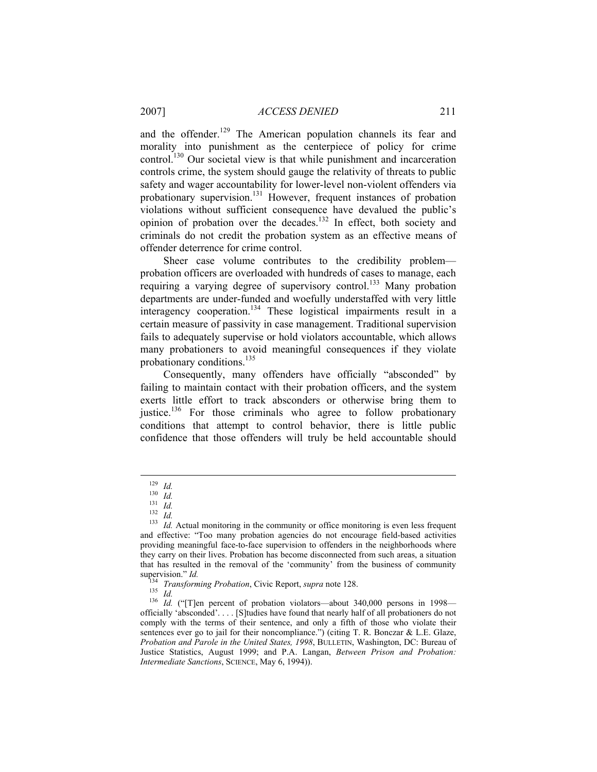and the offender.<sup>129</sup> The American population channels its fear and morality into punishment as the centerpiece of policy for crime control.130 Our societal view is that while punishment and incarceration controls crime, the system should gauge the relativity of threats to public safety and wager accountability for lower-level non-violent offenders via probationary supervision.131 However, frequent instances of probation violations without sufficient consequence have devalued the public's opinion of probation over the decades.<sup>132</sup> In effect, both society and criminals do not credit the probation system as an effective means of offender deterrence for crime control.

Sheer case volume contributes to the credibility problem probation officers are overloaded with hundreds of cases to manage, each requiring a varying degree of supervisory control.<sup>133</sup> Many probation departments are under-funded and woefully understaffed with very little interagency cooperation.<sup>134</sup> These logistical impairments result in a certain measure of passivity in case management. Traditional supervision fails to adequately supervise or hold violators accountable, which allows many probationers to avoid meaningful consequences if they violate probationary conditions.<sup>135</sup>

Consequently, many offenders have officially "absconded" by failing to maintain contact with their probation officers, and the system exerts little effort to track absconders or otherwise bring them to justice.<sup>136</sup> For those criminals who agree to follow probationary conditions that attempt to control behavior, there is little public confidence that those offenders will truly be held accountable should

<sup>129</sup> *Id.*<br>
<sup>130</sup> *Id.*<br>
<sup>131</sup> *Id.*<br>
<sup>132</sup> *Id.* Actual monitoring in the community or office monitoring is even less frequent and effective: "Too many probation agencies do not encourage field-based activities providing meaningful face-to-face supervision to offenders in the neighborhoods where they carry on their lives. Probation has become disconnected from such areas, a situation that has resulted in the removal of the 'community' from the business of community supervision." *Id.*<br> $\frac{134}{134}$   $\frac{1}{5}$ 

<sup>&</sup>lt;sup>134</sup> *Transforming Probation*, Civic Report, *supra* note 128.<br><sup>135</sup> *Id.* ("[T]en percent of probation violators—about 340,000 persons in 1998—<sup>136</sup> *Id.* ("[T]en percent of probation violators—about 340,000 persons in 1 officially 'absconded'. . . . [S]tudies have found that nearly half of all probationers do not comply with the terms of their sentence, and only a fifth of those who violate their sentences ever go to jail for their noncompliance.") (citing T. R. Bonczar & L.E. Glaze, *Probation and Parole in the United States, 1998*, BULLETIN, Washington, DC: Bureau of Justice Statistics, August 1999; and P.A. Langan, *Between Prison and Probation: Intermediate Sanctions*, SCIENCE, May 6, 1994)).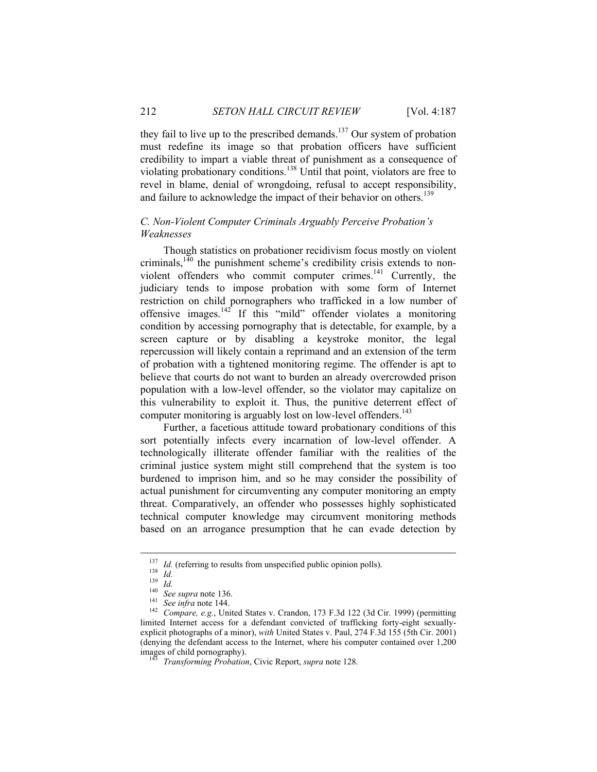they fail to live up to the prescribed demands.<sup>137</sup> Our system of probation must redefine its image so that probation officers have sufficient credibility to impart a viable threat of punishment as a consequence of violating probationary conditions.138 Until that point, violators are free to revel in blame, denial of wrongdoing, refusal to accept responsibility, and failure to acknowledge the impact of their behavior on others.<sup>139</sup>

# *C. Non-Violent Computer Criminals Arguably Perceive Probation's Weaknesses*

Though statistics on probationer recidivism focus mostly on violent criminals, $140$  the punishment scheme's credibility crisis extends to nonviolent offenders who commit computer crimes.<sup>141</sup> Currently, the judiciary tends to impose probation with some form of Internet restriction on child pornographers who trafficked in a low number of offensive images.142 If this "mild" offender violates a monitoring condition by accessing pornography that is detectable, for example, by a screen capture or by disabling a keystroke monitor, the legal repercussion will likely contain a reprimand and an extension of the term of probation with a tightened monitoring regime. The offender is apt to believe that courts do not want to burden an already overcrowded prison population with a low-level offender, so the violator may capitalize on this vulnerability to exploit it. Thus, the punitive deterrent effect of computer monitoring is arguably lost on low-level offenders.<sup>143</sup>

Further, a facetious attitude toward probationary conditions of this sort potentially infects every incarnation of low-level offender. A technologically illiterate offender familiar with the realities of the criminal justice system might still comprehend that the system is too burdened to imprison him, and so he may consider the possibility of actual punishment for circumventing any computer monitoring an empty threat. Comparatively, an offender who possesses highly sophisticated technical computer knowledge may circumvent monitoring methods based on an arrogance presumption that he can evade detection by

<sup>&</sup>lt;sup>137</sup> *Id.* (referring to results from unspecified public opinion polls).<br>
<sup>138</sup> *Id.*<br>
<sup>139</sup> *Id.*<br>
<sup>140</sup> *See supra* note 136.<br>
<sup>141</sup> *See infra* note 144.<br>
<sup>142</sup> *Compare, e.g.*, United States v. Crandon, 173 F.3d 122 limited Internet access for a defendant convicted of trafficking forty-eight sexuallyexplicit photographs of a minor), *with* United States v. Paul, 274 F.3d 155 (5th Cir. 2001) (denying the defendant access to the Internet, where his computer contained over 1,200 images of child pornography). 143 *Transforming Probation*, Civic Report, *supra* note 128.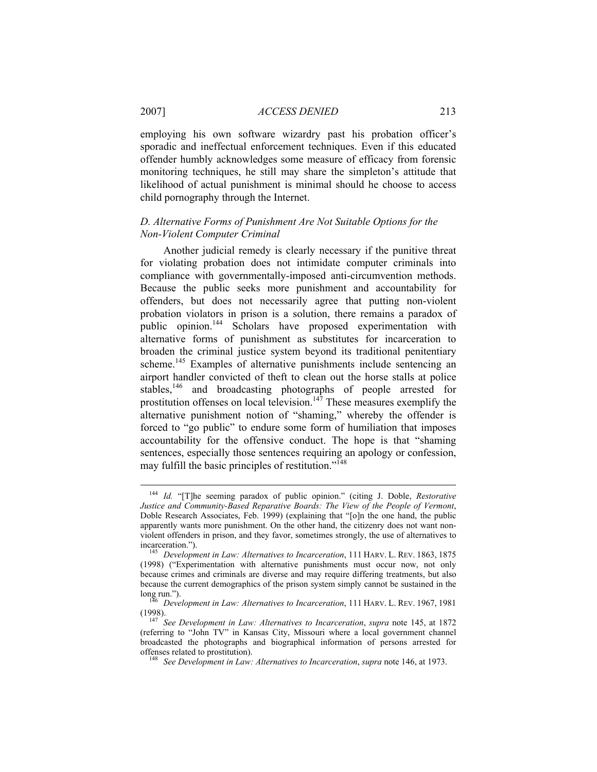employing his own software wizardry past his probation officer's sporadic and ineffectual enforcement techniques. Even if this educated offender humbly acknowledges some measure of efficacy from forensic monitoring techniques, he still may share the simpleton's attitude that likelihood of actual punishment is minimal should he choose to access child pornography through the Internet.

# *D. Alternative Forms of Punishment Are Not Suitable Options for the Non-Violent Computer Criminal*

Another judicial remedy is clearly necessary if the punitive threat for violating probation does not intimidate computer criminals into compliance with governmentally-imposed anti-circumvention methods. Because the public seeks more punishment and accountability for offenders, but does not necessarily agree that putting non-violent probation violators in prison is a solution, there remains a paradox of public opinion.<sup>144</sup> Scholars have proposed experimentation with alternative forms of punishment as substitutes for incarceration to broaden the criminal justice system beyond its traditional penitentiary scheme.<sup>145</sup> Examples of alternative punishments include sentencing an airport handler convicted of theft to clean out the horse stalls at police stables,<sup>146</sup> and broadcasting photographs of people arrested for prostitution offenses on local television.<sup>147</sup> These measures exemplify the alternative punishment notion of "shaming," whereby the offender is forced to "go public" to endure some form of humiliation that imposes accountability for the offensive conduct. The hope is that "shaming sentences, especially those sentences requiring an apology or confession, may fulfill the basic principles of restitution."<sup>148</sup>

 <sup>144</sup> *Id.* "[T]he seeming paradox of public opinion." (citing J. Doble, *Restorative Justice and Community-Based Reparative Boards: The View of the People of Vermont*, Doble Research Associates, Feb. 1999) (explaining that "[o]n the one hand, the public apparently wants more punishment. On the other hand, the citizenry does not want nonviolent offenders in prison, and they favor, sometimes strongly, the use of alternatives to incarceration.").<br><sup>145</sup> Development in Law: Alternatives to Incarceration, 111 HARV. L. REV. 1863, 1875

<sup>(1998) (&</sup>quot;Experimentation with alternative punishments must occur now, not only because crimes and criminals are diverse and may require differing treatments, but also because the current demographics of the prison system simply cannot be sustained in the long run."). <sup>146</sup> *Development in Law: Alternatives to Incarceration*, 111 HARV. L. REV. 1967, <sup>1981</sup>

<sup>(1998). 147</sup> *See Development in Law: Alternatives to Incarceration*, *supra* note 145, at 1872 (referring to "John TV" in Kansas City, Missouri where a local government channel broadcasted the photographs and biographical information of persons arrested for offenses related to prostitution). 148 *See Development in Law: Alternatives to Incarceration*, *supra* note 146, at 1973.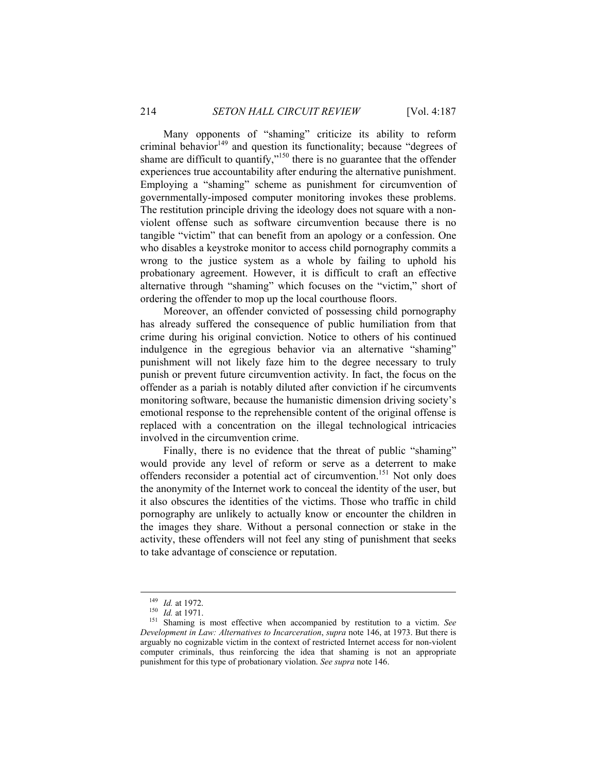Many opponents of "shaming" criticize its ability to reform criminal behavior<sup>149</sup> and question its functionality; because "degrees of shame are difficult to quantify,"<sup>150</sup> there is no guarantee that the offender experiences true accountability after enduring the alternative punishment. Employing a "shaming" scheme as punishment for circumvention of governmentally-imposed computer monitoring invokes these problems. The restitution principle driving the ideology does not square with a nonviolent offense such as software circumvention because there is no tangible "victim" that can benefit from an apology or a confession. One who disables a keystroke monitor to access child pornography commits a wrong to the justice system as a whole by failing to uphold his probationary agreement. However, it is difficult to craft an effective alternative through "shaming" which focuses on the "victim," short of ordering the offender to mop up the local courthouse floors.

Moreover, an offender convicted of possessing child pornography has already suffered the consequence of public humiliation from that crime during his original conviction. Notice to others of his continued indulgence in the egregious behavior via an alternative "shaming" punishment will not likely faze him to the degree necessary to truly punish or prevent future circumvention activity. In fact, the focus on the offender as a pariah is notably diluted after conviction if he circumvents monitoring software, because the humanistic dimension driving society's emotional response to the reprehensible content of the original offense is replaced with a concentration on the illegal technological intricacies involved in the circumvention crime.

Finally, there is no evidence that the threat of public "shaming" would provide any level of reform or serve as a deterrent to make offenders reconsider a potential act of circumvention.<sup>151</sup> Not only does the anonymity of the Internet work to conceal the identity of the user, but it also obscures the identities of the victims. Those who traffic in child pornography are unlikely to actually know or encounter the children in the images they share. Without a personal connection or stake in the activity, these offenders will not feel any sting of punishment that seeks to take advantage of conscience or reputation.

<sup>&</sup>lt;sup>149</sup> *Id.* at 1972.<br><sup>150</sup> *Id.* at 1971.<br><sup>151</sup> Shaming is most effective when accompanied by restitution to a victim. *See Development in Law: Alternatives to Incarceration*, *supra* note 146, at 1973. But there is arguably no cognizable victim in the context of restricted Internet access for non-violent computer criminals, thus reinforcing the idea that shaming is not an appropriate punishment for this type of probationary violation. *See supra* note 146.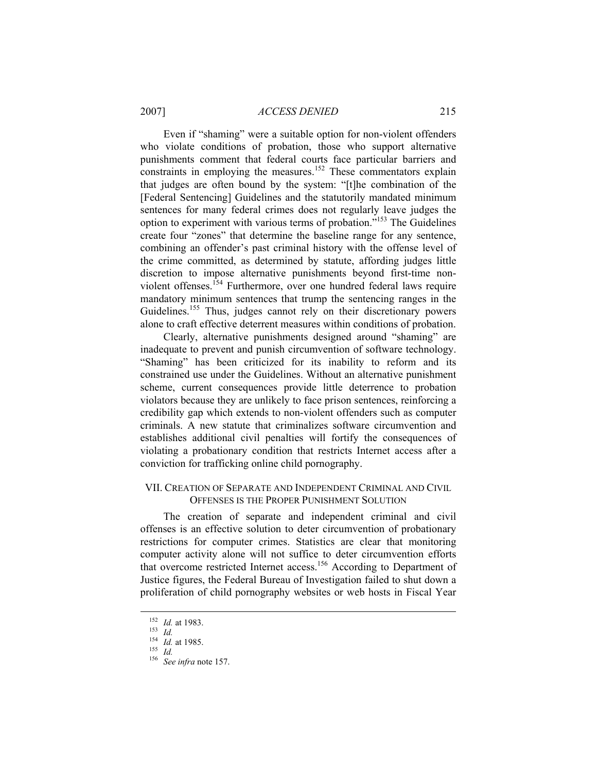Even if "shaming" were a suitable option for non-violent offenders who violate conditions of probation, those who support alternative punishments comment that federal courts face particular barriers and constraints in employing the measures.<sup>152</sup> These commentators explain that judges are often bound by the system: "[t]he combination of the [Federal Sentencing] Guidelines and the statutorily mandated minimum sentences for many federal crimes does not regularly leave judges the option to experiment with various terms of probation."153 The Guidelines create four "zones" that determine the baseline range for any sentence, combining an offender's past criminal history with the offense level of the crime committed, as determined by statute, affording judges little discretion to impose alternative punishments beyond first-time nonviolent offenses.<sup>154</sup> Furthermore, over one hundred federal laws require mandatory minimum sentences that trump the sentencing ranges in the Guidelines.<sup>155</sup> Thus, judges cannot rely on their discretionary powers alone to craft effective deterrent measures within conditions of probation.

Clearly, alternative punishments designed around "shaming" are inadequate to prevent and punish circumvention of software technology. "Shaming" has been criticized for its inability to reform and its constrained use under the Guidelines. Without an alternative punishment scheme, current consequences provide little deterrence to probation violators because they are unlikely to face prison sentences, reinforcing a credibility gap which extends to non-violent offenders such as computer criminals. A new statute that criminalizes software circumvention and establishes additional civil penalties will fortify the consequences of violating a probationary condition that restricts Internet access after a conviction for trafficking online child pornography.

## VII. CREATION OF SEPARATE AND INDEPENDENT CRIMINAL AND CIVIL OFFENSES IS THE PROPER PUNISHMENT SOLUTION

The creation of separate and independent criminal and civil offenses is an effective solution to deter circumvention of probationary restrictions for computer crimes. Statistics are clear that monitoring computer activity alone will not suffice to deter circumvention efforts that overcome restricted Internet access.156 According to Department of Justice figures, the Federal Bureau of Investigation failed to shut down a proliferation of child pornography websites or web hosts in Fiscal Year

<sup>152</sup> *Id.* at 1983. 153 *Id.* <sup>154</sup> *Id.* at 1985. 155 *Id.* <sup>156</sup> *See infra* note 157.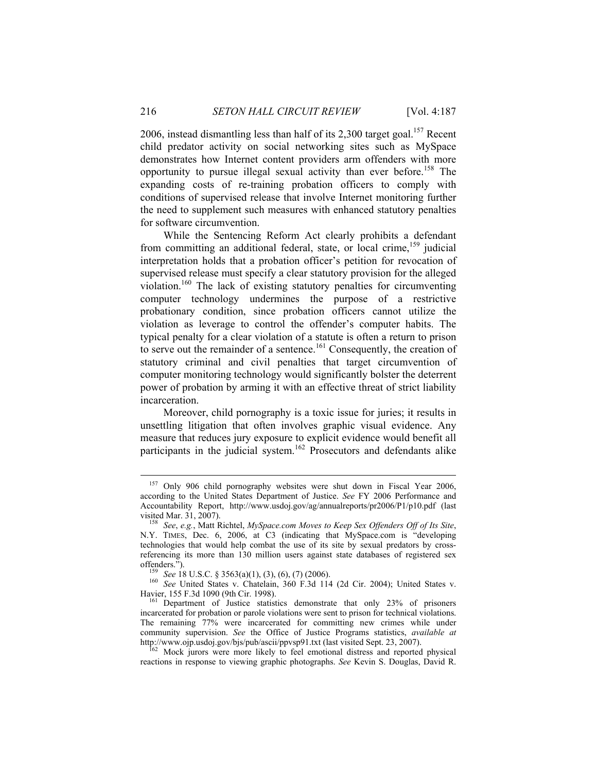2006, instead dismantling less than half of its 2,300 target goal.<sup>157</sup> Recent child predator activity on social networking sites such as MySpace demonstrates how Internet content providers arm offenders with more opportunity to pursue illegal sexual activity than ever before.158 The expanding costs of re-training probation officers to comply with conditions of supervised release that involve Internet monitoring further the need to supplement such measures with enhanced statutory penalties for software circumvention.

While the Sentencing Reform Act clearly prohibits a defendant from committing an additional federal, state, or local crime,<sup>159</sup> judicial interpretation holds that a probation officer's petition for revocation of supervised release must specify a clear statutory provision for the alleged violation.160 The lack of existing statutory penalties for circumventing computer technology undermines the purpose of a restrictive probationary condition, since probation officers cannot utilize the violation as leverage to control the offender's computer habits. The typical penalty for a clear violation of a statute is often a return to prison to serve out the remainder of a sentence.<sup>161</sup> Consequently, the creation of statutory criminal and civil penalties that target circumvention of computer monitoring technology would significantly bolster the deterrent power of probation by arming it with an effective threat of strict liability incarceration.

Moreover, child pornography is a toxic issue for juries; it results in unsettling litigation that often involves graphic visual evidence. Any measure that reduces jury exposure to explicit evidence would benefit all participants in the judicial system.<sup>162</sup> Prosecutors and defendants alike

<sup>&</sup>lt;sup>157</sup> Only 906 child pornography websites were shut down in Fiscal Year 2006, according to the United States Department of Justice. *See* FY 2006 Performance and Accountability Report, http://www.usdoj.gov/ag/annualreports/pr2006/P1/p10.pdf (last

visited Mar. 31, 2007). 158 *See*, *e.g.*, Matt Richtel, *MySpace.com Moves to Keep Sex Offenders Off of Its Site*, N.Y. TIMES, Dec. 6, 2006, at C3 (indicating that MySpace.com is "developing technologies that would help combat the use of its site by sexual predators by crossreferencing its more than 130 million users against state databases of registered sex

offenders."). 159 *See* 18 U.S.C. § 3563(a)(1), (3), (6), (7) (2006). 160 *See* United States v. Chatelain, 360 F.3d 114 (2d Cir. 2004); United States v. Havier, 155 F.3d 1090 (9th Cir. 1998).<br><sup>161</sup> Department of Justice statistics demonstrate that only 23% of prisoners

incarcerated for probation or parole violations were sent to prison for technical violations. The remaining 77% were incarcerated for committing new crimes while under community supervision. *See* the Office of Justice Programs statistics, *available at* http://www.ojp.usdoj.gov/bjs/pub/ascii/ppvsp91.txt (last visited Sept. 23, 2007).

 $h<sup>162</sup>$  Mock jurors were more likely to feel emotional distress and reported physical reactions in response to viewing graphic photographs. *See* Kevin S. Douglas, David R.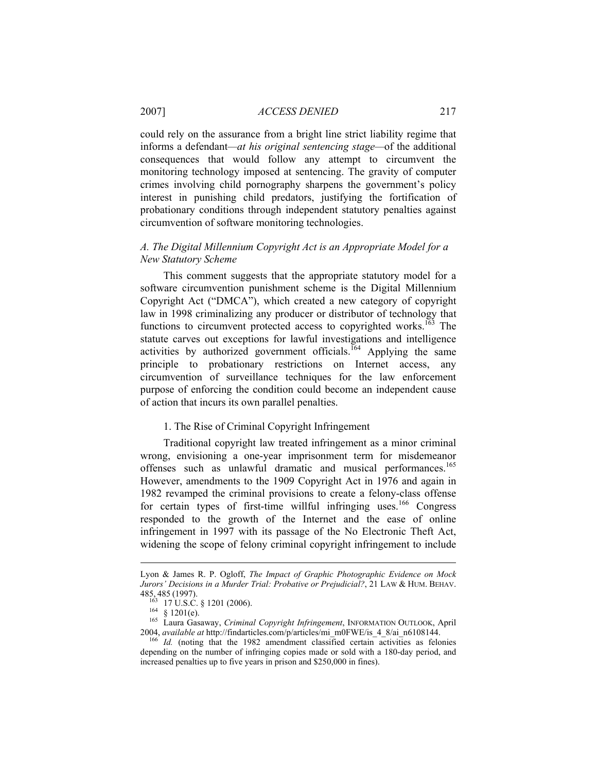could rely on the assurance from a bright line strict liability regime that informs a defendant*—at his original sentencing stage—*of the additional consequences that would follow any attempt to circumvent the monitoring technology imposed at sentencing. The gravity of computer crimes involving child pornography sharpens the government's policy interest in punishing child predators, justifying the fortification of probationary conditions through independent statutory penalties against circumvention of software monitoring technologies.

# *A. The Digital Millennium Copyright Act is an Appropriate Model for a New Statutory Scheme*

This comment suggests that the appropriate statutory model for a software circumvention punishment scheme is the Digital Millennium Copyright Act ("DMCA"), which created a new category of copyright law in 1998 criminalizing any producer or distributor of technology that functions to circumvent protected access to copyrighted works.<sup>163</sup> The statute carves out exceptions for lawful investigations and intelligence activities by authorized government officials.<sup>164</sup> Applying the same principle to probationary restrictions on Internet access, any circumvention of surveillance techniques for the law enforcement purpose of enforcing the condition could become an independent cause of action that incurs its own parallel penalties.

#### 1. The Rise of Criminal Copyright Infringement

Traditional copyright law treated infringement as a minor criminal wrong, envisioning a one-year imprisonment term for misdemeanor offenses such as unlawful dramatic and musical performances.<sup>165</sup> However, amendments to the 1909 Copyright Act in 1976 and again in 1982 revamped the criminal provisions to create a felony-class offense for certain types of first-time willful infringing uses.<sup>166</sup> Congress responded to the growth of the Internet and the ease of online infringement in 1997 with its passage of the No Electronic Theft Act, widening the scope of felony criminal copyright infringement to include

 $\overline{a}$ 

Lyon & James R. P. Ogloff, *The Impact of Graphic Photographic Evidence on Mock Jurors' Decisions in a Murder Trial: Probative or Prejudicial?*, 21 LAW & HUM. BEHAV.<br>485, 485 (1997).<br><sup>163</sup> 17 U.S.C. § 1201 (2006).

<sup>17</sup> U.S.C. § 1201 (2000).<br><sup>164</sup> § 1201(e).<br><sup>165</sup> Laura Gasaway, *Criminal Copyright Infringement*, INFORMATION OUTLOOK, April<br>2004, *available at* http://findarticles.com/p/articles/mi\_m0FWE/is\_4\_8/ai\_n6108144.

<sup>&</sup>lt;sup>166</sup> Id. (noting that the 1982 amendment classified certain activities as felonies depending on the number of infringing copies made or sold with a 180-day period, and increased penalties up to five years in prison and \$250,000 in fines).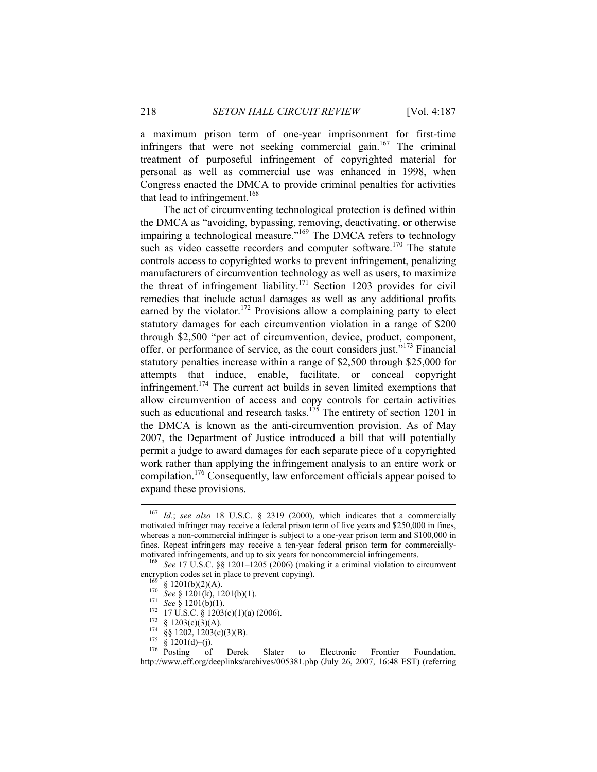a maximum prison term of one-year imprisonment for first-time infringers that were not seeking commercial gain.<sup>167</sup> The criminal treatment of purposeful infringement of copyrighted material for personal as well as commercial use was enhanced in 1998, when Congress enacted the DMCA to provide criminal penalties for activities that lead to infringement.<sup>168</sup>

The act of circumventing technological protection is defined within the DMCA as "avoiding, bypassing, removing, deactivating, or otherwise impairing a technological measure."<sup>169</sup> The DMCA refers to technology such as video cassette recorders and computer software.<sup>170</sup> The statute controls access to copyrighted works to prevent infringement, penalizing manufacturers of circumvention technology as well as users, to maximize the threat of infringement liability.<sup>171</sup> Section 1203 provides for civil remedies that include actual damages as well as any additional profits earned by the violator.<sup>172</sup> Provisions allow a complaining party to elect statutory damages for each circumvention violation in a range of \$200 through \$2,500 "per act of circumvention, device, product, component, offer, or performance of service, as the court considers just."173 Financial statutory penalties increase within a range of \$2,500 through \$25,000 for attempts that induce, enable, facilitate, or conceal copyright infringement.<sup>174</sup> The current act builds in seven limited exemptions that allow circumvention of access and copy controls for certain activities such as educational and research tasks.<sup>175</sup> The entirety of section 1201 in the DMCA is known as the anti-circumvention provision. As of May 2007, the Department of Justice introduced a bill that will potentially permit a judge to award damages for each separate piece of a copyrighted work rather than applying the infringement analysis to an entire work or compilation.176 Consequently, law enforcement officials appear poised to expand these provisions.

 <sup>167</sup> *Id.*; *see also* 18 U.S.C. § 2319 (2000), which indicates that a commercially motivated infringer may receive a federal prison term of five years and \$250,000 in fines, whereas a non-commercial infringer is subject to a one-year prison term and \$100,000 in fines. Repeat infringers may receive a ten-year federal prison term for commercially-

motivated infringements, and up to six years for noncommercial infringements.<br><sup>168</sup> *See* 17 U.S.C. §§ 1201–1205 (2006) (making it a criminal violation to circumvent encryption codes set in place to prevent copying). encryption codes set in place to prevent copying).<br>
<sup>169</sup> § 1201(b)(2)(A).<br>
<sup>170</sup> See § 1201(k), 1201(b)(1).<br>
<sup>171</sup> See § 1201(b)(1).<br>
<sup>172</sup> 17 U.S.C. § 1203(c)(1)(a) (2006).<br>
<sup>173</sup> § 1203(c)(3)(A).<br>
<sup>174</sup> §§ 1202, 1203(c

http://www.eff.org/deeplinks/archives/005381.php (July 26, 2007, 16:48 EST) (referring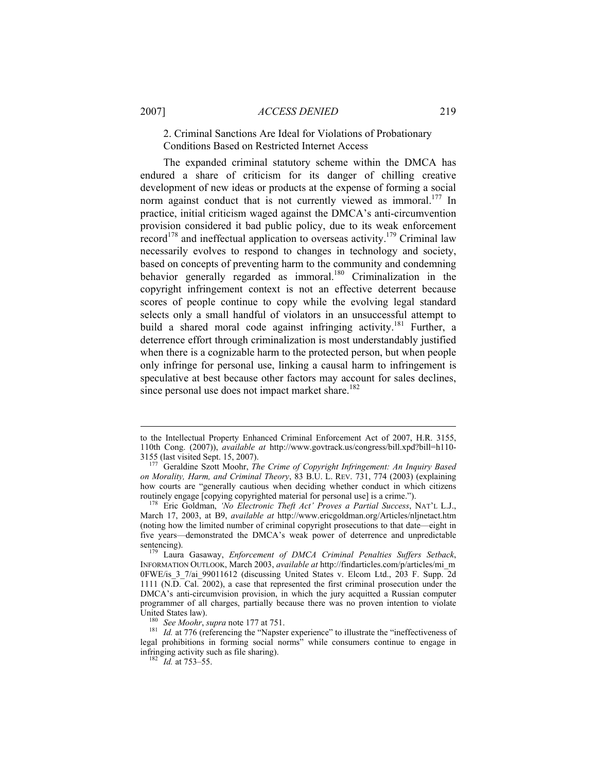## 2007] *ACCESS DENIED* 219

2. Criminal Sanctions Are Ideal for Violations of Probationary Conditions Based on Restricted Internet Access

The expanded criminal statutory scheme within the DMCA has endured a share of criticism for its danger of chilling creative development of new ideas or products at the expense of forming a social norm against conduct that is not currently viewed as immoral.<sup>177</sup> In practice, initial criticism waged against the DMCA's anti-circumvention provision considered it bad public policy, due to its weak enforcement record<sup>178</sup> and ineffectual application to overseas activity.<sup>179</sup> Criminal law necessarily evolves to respond to changes in technology and society, based on concepts of preventing harm to the community and condemning behavior generally regarded as immoral.<sup>180</sup> Criminalization in the copyright infringement context is not an effective deterrent because scores of people continue to copy while the evolving legal standard selects only a small handful of violators in an unsuccessful attempt to build a shared moral code against infringing activity.<sup>181</sup> Further, a deterrence effort through criminalization is most understandably justified when there is a cognizable harm to the protected person, but when people only infringe for personal use, linking a causal harm to infringement is speculative at best because other factors may account for sales declines, since personal use does not impact market share.<sup>182</sup>

 $\overline{a}$ 

to the Intellectual Property Enhanced Criminal Enforcement Act of 2007, H.R. 3155, 110th Cong. (2007)), *available at* http://www.govtrack.us/congress/bill.xpd?bill=h110- 3155 (last visited Sept. 15, 2007). 177 Geraldine Szott Moohr, *The Crime of Copyright Infringement: An Inquiry Based* 

*on Morality, Harm, and Criminal Theory*, 83 B.U. L. REV. 731, 774 (2003) (explaining how courts are "generally cautious when deciding whether conduct in which citizens routinely engage [copying copyrighted material for personal use] is a crime."). 178 Eric Goldman, *'No Electronic Theft Act' Proves a Partial Success*, NAT'L L.J.,

March 17, 2003, at B9, *available at* http://www.ericgoldman.org/Articles/nljnetact.htm (noting how the limited number of criminal copyright prosecutions to that date—eight in five years—demonstrated the DMCA's weak power of deterrence and unpredictable sentencing). 179 Laura Gasaway, *Enforcement of DMCA Criminal Penalties Suffers Setback*,

INFORMATION OUTLOOK, March 2003, *available at* http://findarticles.com/p/articles/mi\_m 0FWE/is\_3\_7/ai\_99011612 (discussing United States v. Elcom Ltd., 203 F. Supp. 2d 1111 (N.D. Cal. 2002), a case that represented the first criminal prosecution under the DMCA's anti-circumvision provision, in which the jury acquitted a Russian computer programmer of all charges, partially because there was no proven intention to violate United States law).<br><sup>180</sup> *See Moohr*, *supra* note 177 at 751.<br><sup>181</sup> *Id.* at 776 (referencing the "Napster experience" to illustrate the "ineffectiveness of

legal prohibitions in forming social norms" while consumers continue to engage in infringing activity such as file sharing). 182 *Id.* at 753–55.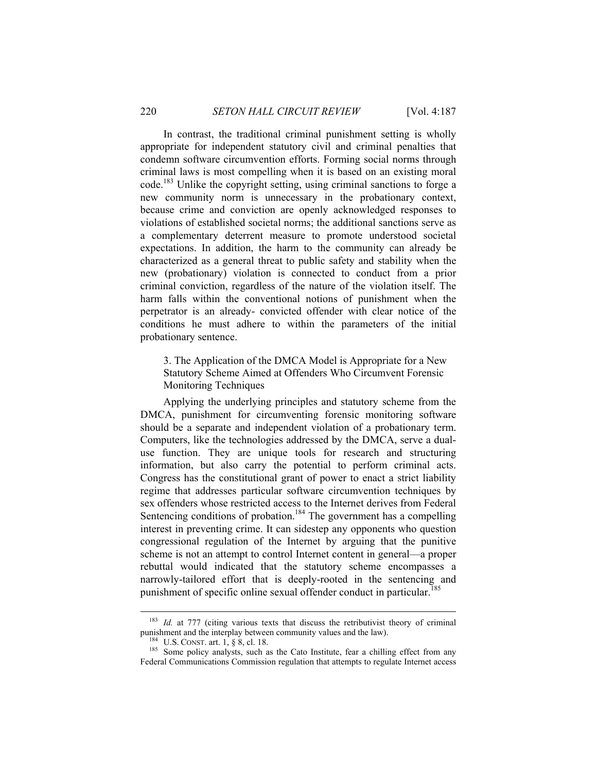In contrast, the traditional criminal punishment setting is wholly appropriate for independent statutory civil and criminal penalties that condemn software circumvention efforts. Forming social norms through criminal laws is most compelling when it is based on an existing moral code.183 Unlike the copyright setting, using criminal sanctions to forge a new community norm is unnecessary in the probationary context, because crime and conviction are openly acknowledged responses to violations of established societal norms; the additional sanctions serve as a complementary deterrent measure to promote understood societal expectations. In addition, the harm to the community can already be characterized as a general threat to public safety and stability when the new (probationary) violation is connected to conduct from a prior criminal conviction, regardless of the nature of the violation itself. The harm falls within the conventional notions of punishment when the perpetrator is an already- convicted offender with clear notice of the conditions he must adhere to within the parameters of the initial probationary sentence.

3. The Application of the DMCA Model is Appropriate for a New Statutory Scheme Aimed at Offenders Who Circumvent Forensic Monitoring Techniques

Applying the underlying principles and statutory scheme from the DMCA, punishment for circumventing forensic monitoring software should be a separate and independent violation of a probationary term. Computers, like the technologies addressed by the DMCA, serve a dualuse function. They are unique tools for research and structuring information, but also carry the potential to perform criminal acts. Congress has the constitutional grant of power to enact a strict liability regime that addresses particular software circumvention techniques by sex offenders whose restricted access to the Internet derives from Federal Sentencing conditions of probation.<sup>184</sup> The government has a compelling interest in preventing crime. It can sidestep any opponents who question congressional regulation of the Internet by arguing that the punitive scheme is not an attempt to control Internet content in general—a proper rebuttal would indicated that the statutory scheme encompasses a narrowly-tailored effort that is deeply-rooted in the sentencing and punishment of specific online sexual offender conduct in particular.<sup>185</sup>

<sup>&</sup>lt;sup>183</sup> *Id.* at 777 (citing various texts that discuss the retributivist theory of criminal punishment and the interplay between community values and the law).

<sup>&</sup>lt;sup>184</sup> U.S. CONST. art. 1, § 8, cl. 18. 185 Some policy analysts, such as the Cato Institute, fear a chilling effect from any Federal Communications Commission regulation that attempts to regulate Internet access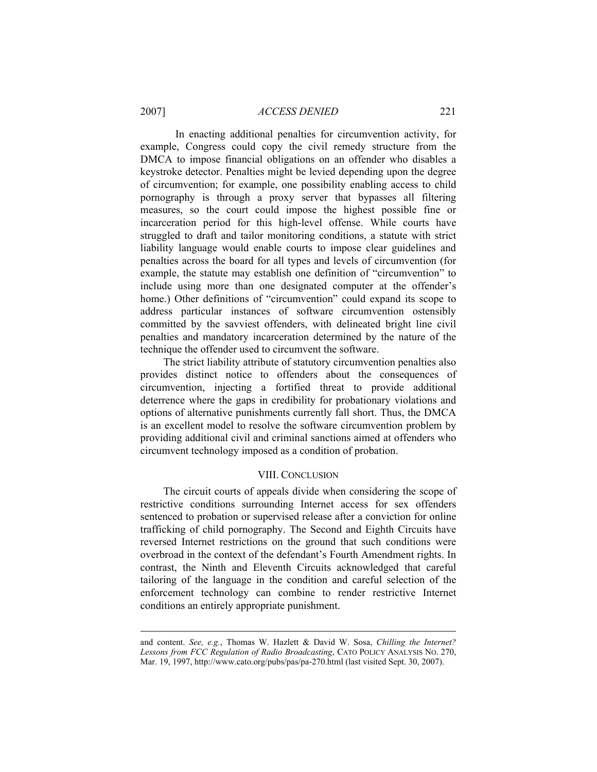In enacting additional penalties for circumvention activity, for example, Congress could copy the civil remedy structure from the DMCA to impose financial obligations on an offender who disables a keystroke detector. Penalties might be levied depending upon the degree of circumvention; for example, one possibility enabling access to child pornography is through a proxy server that bypasses all filtering measures, so the court could impose the highest possible fine or incarceration period for this high-level offense. While courts have struggled to draft and tailor monitoring conditions, a statute with strict liability language would enable courts to impose clear guidelines and penalties across the board for all types and levels of circumvention (for example, the statute may establish one definition of "circumvention" to include using more than one designated computer at the offender's home.) Other definitions of "circumvention" could expand its scope to address particular instances of software circumvention ostensibly committed by the savviest offenders, with delineated bright line civil penalties and mandatory incarceration determined by the nature of the technique the offender used to circumvent the software.

The strict liability attribute of statutory circumvention penalties also provides distinct notice to offenders about the consequences of circumvention, injecting a fortified threat to provide additional deterrence where the gaps in credibility for probationary violations and options of alternative punishments currently fall short. Thus, the DMCA is an excellent model to resolve the software circumvention problem by providing additional civil and criminal sanctions aimed at offenders who circumvent technology imposed as a condition of probation.

#### VIII. CONCLUSION

The circuit courts of appeals divide when considering the scope of restrictive conditions surrounding Internet access for sex offenders sentenced to probation or supervised release after a conviction for online trafficking of child pornography. The Second and Eighth Circuits have reversed Internet restrictions on the ground that such conditions were overbroad in the context of the defendant's Fourth Amendment rights. In contrast, the Ninth and Eleventh Circuits acknowledged that careful tailoring of the language in the condition and careful selection of the enforcement technology can combine to render restrictive Internet conditions an entirely appropriate punishment.

 $\overline{a}$ 

and content. *See, e.g.*, Thomas W. Hazlett & David W. Sosa, *Chilling the Internet? Lessons from FCC Regulation of Radio Broadcasting*, CATO POLICY ANALYSIS NO. 270, Mar. 19, 1997, http://www.cato.org/pubs/pas/pa-270.html (last visited Sept. 30, 2007).